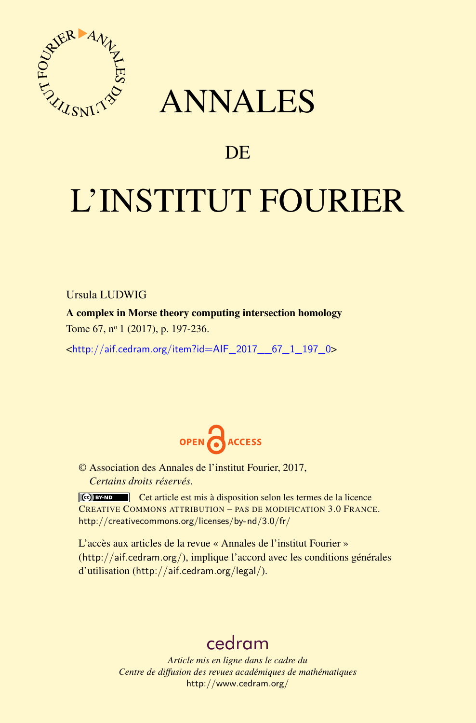

# ANNALES

# **DE**

# L'INSTITUT FOURIER

Ursula LUDWIG

A complex in Morse theory computing intersection homology Tome 67, nº 1 (2017), p. 197-236.

<[http://aif.cedram.org/item?id=AIF\\_2017\\_\\_67\\_1\\_197\\_0](http://aif.cedram.org/item?id=AIF_2017__67_1_197_0)>



© Association des Annales de l'institut Fourier, 2017, *Certains droits réservés.*

Cet article est mis à disposition selon les termes de la licence CREATIVE COMMONS ATTRIBUTION – PAS DE MODIFICATION 3.0 FRANCE. <http://creativecommons.org/licenses/by-nd/3.0/fr/>

L'accès aux articles de la revue « Annales de l'institut Fourier » (<http://aif.cedram.org/>), implique l'accord avec les conditions générales d'utilisation (<http://aif.cedram.org/legal/>).

# [cedram](http://www.cedram.org/)

*Article mis en ligne dans le cadre du Centre de diffusion des revues académiques de mathématiques* <http://www.cedram.org/>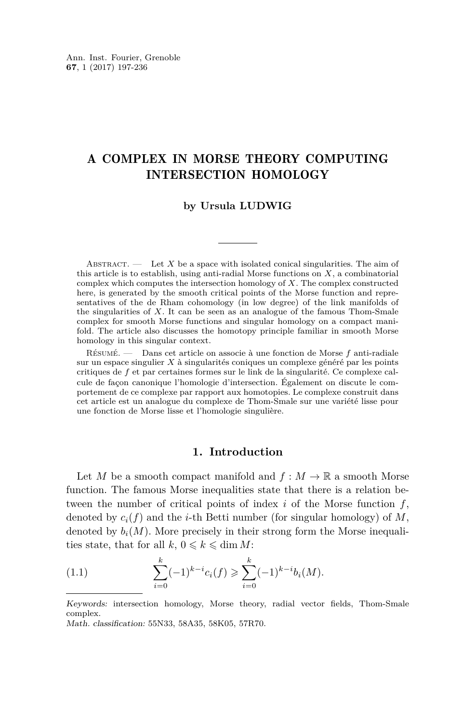# A COMPLEX IN MORSE THEORY COMPUTING INTERSECTION HOMOLOGY

### **by Ursula LUDWIG**

ABSTRACT.  $\qquad$  Let X be a space with isolated conical singularities. The aim of this article is to establish, using anti-radial Morse functions on *X*, a combinatorial complex which computes the intersection homology of *X*. The complex constructed here, is generated by the smooth critical points of the Morse function and representatives of the de Rham cohomology (in low degree) of the link manifolds of the singularities of *X*. It can be seen as an analogue of the famous Thom-Smale complex for smooth Morse functions and singular homology on a compact manifold. The article also discusses the homotopy principle familiar in smooth Morse homology in this singular context.

Résumé. — Dans cet article on associe à une fonction de Morse *f* anti-radiale sur un espace singulier *X* à singularités coniques un complexe généré par les points critiques de *f* et par certaines formes sur le link de la singularité. Ce complexe calcule de façon canonique l'homologie d'intersection. Également on discute le comportement de ce complexe par rapport aux homotopies. Le complexe construit dans cet article est un analogue du complexe de Thom-Smale sur une variété lisse pour une fonction de Morse lisse et l'homologie singulière.

# **1. Introduction**

Let *M* be a smooth compact manifold and  $f : M \to \mathbb{R}$  a smooth Morse function. The famous Morse inequalities state that there is a relation between the number of critical points of index *i* of the Morse function *f*, denoted by  $c_i(f)$  and the *i*-th Betti number (for singular homology) of M, denoted by  $b_i(M)$ . More precisely in their strong form the Morse inequalities state, that for all  $k, 0 \leq k \leq \dim M$ :

(1.1) 
$$
\sum_{i=0}^{k} (-1)^{k-i} c_i(f) \geqslant \sum_{i=0}^{k} (-1)^{k-i} b_i(M).
$$

Keywords: intersection homology, Morse theory, radial vector fields, Thom-Smale complex.

Math. classification: 55N33, 58A35, 58K05, 57R70.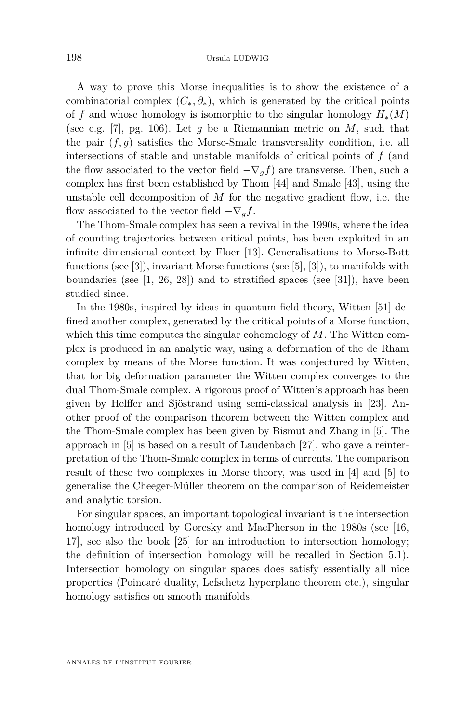A way to prove this Morse inequalities is to show the existence of a combinatorial complex  $(C_*,\partial_*)$ , which is generated by the critical points of *f* and whose homology is isomorphic to the singular homology  $H_*(M)$ (see e.g. [\[7\]](#page-38-0), pg. 106). Let *g* be a Riemannian metric on *M*, such that the pair  $(f, g)$  satisfies the Morse-Smale transversality condition, i.e. all intersections of stable and unstable manifolds of critical points of *f* (and the flow associated to the vector field  $-\nabla_g f$  are transverse. Then, such a complex has first been established by Thom [\[44\]](#page-39-0) and Smale [\[43\]](#page-39-1), using the unstable cell decomposition of *M* for the negative gradient flow, i.e. the flow associated to the vector field  $-\nabla_a f$ .

The Thom-Smale complex has seen a revival in the 1990s, where the idea of counting trajectories between critical points, has been exploited in an infinite dimensional context by Floer [\[13\]](#page-38-1). Generalisations to Morse-Bott functions (see [\[3\]](#page-37-0)), invariant Morse functions (see [\[5\]](#page-38-2), [\[3\]](#page-37-0)), to manifolds with boundaries (see  $[1, 26, 28]$  $[1, 26, 28]$  $[1, 26, 28]$  $[1, 26, 28]$  $[1, 26, 28]$ ) and to stratified spaces (see  $[31]$ ), have been studied since.

In the 1980s, inspired by ideas in quantum field theory, Witten [\[51\]](#page-40-0) defined another complex, generated by the critical points of a Morse function, which this time computes the singular cohomology of *M*. The Witten complex is produced in an analytic way, using a deformation of the de Rham complex by means of the Morse function. It was conjectured by Witten, that for big deformation parameter the Witten complex converges to the dual Thom-Smale complex. A rigorous proof of Witten's approach has been given by Helffer and Sjöstrand using semi-classical analysis in [\[23\]](#page-38-3). Another proof of the comparison theorem between the Witten complex and the Thom-Smale complex has been given by Bismut and Zhang in [\[5\]](#page-38-2). The approach in [\[5\]](#page-38-2) is based on a result of Laudenbach [\[27\]](#page-39-5), who gave a reinterpretation of the Thom-Smale complex in terms of currents. The comparison result of these two complexes in Morse theory, was used in [\[4\]](#page-38-4) and [\[5\]](#page-38-2) to generalise the Cheeger-Müller theorem on the comparison of Reidemeister and analytic torsion.

For singular spaces, an important topological invariant is the intersection homology introduced by Goresky and MacPherson in the 1980s (see [\[16,](#page-38-5) [17\]](#page-38-6), see also the book [\[25\]](#page-38-7) for an introduction to intersection homology; the definition of intersection homology will be recalled in Section [5.1\)](#page-20-0). Intersection homology on singular spaces does satisfy essentially all nice properties (Poincaré duality, Lefschetz hyperplane theorem etc.), singular homology satisfies on smooth manifolds.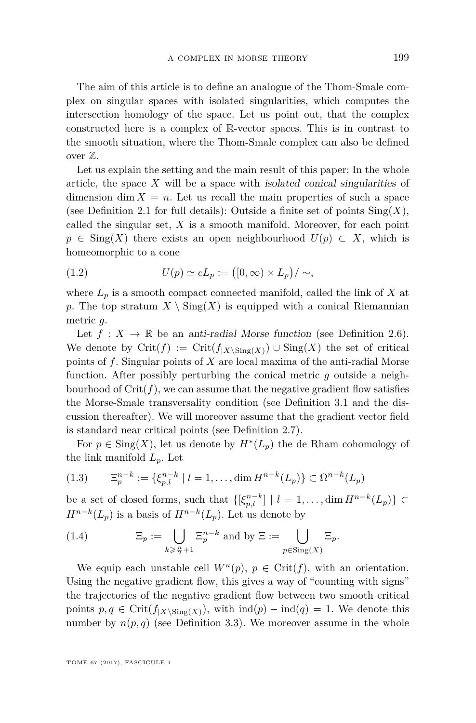The aim of this article is to define an analogue of the Thom-Smale complex on singular spaces with isolated singularities, which computes the intersection homology of the space. Let us point out, that the complex constructed here is a complex of R-vector spaces. This is in contrast to the smooth situation, where the Thom-Smale complex can also be defined over Z.

Let us explain the setting and the main result of this paper: In the whole article, the space *X* will be a space with isolated conical singularities of dimension  $\dim X = n$ . Let us recall the main properties of such a space (see Definition [2.1](#page-8-0) for full details): Outside a finite set of points  $\text{Sing}(X)$ , called the singular set, *X* is a smooth manifold. Moreover, for each point  $p \in \text{Sing}(X)$  there exists an open neighbourhood  $U(p) \subset X$ , which is homeomorphic to a cone

(1.2) 
$$
U(p) \simeq cL_p := (0, \infty) \times L_p)/\sim,
$$

where  $L_p$  is a smooth compact connected manifold, called the link of  $X$  at p. The top stratum  $X \setminus Sing(X)$  is equipped with a conical Riemannian metric *g*.

Let  $f: X \to \mathbb{R}$  be an anti-radial Morse function (see Definition [2.6\)](#page-11-0). We denote by  $\operatorname{Crit}(f) := \operatorname{Crit}(f_{|X \setminus \operatorname{Sing}(X)}) \cup \operatorname{Sing}(X)$  the set of critical points of *f*. Singular points of *X* are local maxima of the anti-radial Morse function. After possibly perturbing the conical metric *g* outside a neighbourhood of  $\text{Crit}(f)$ , we can assume that the negative gradient flow satisfies the Morse-Smale transversality condition (see Definition [3.1](#page-13-0) and the discussion thereafter). We will moreover assume that the gradient vector field is standard near critical points (see Definition [2.7\)](#page-12-0).

For  $p \in \text{Sing}(X)$ , let us denote by  $H^*(L_p)$  the de Rham cohomology of the link manifold  $L_p$ . Let

<span id="page-3-0"></span>
$$
(1.3) \qquad \Xi_p^{n-k} := \{ \xi_{p,l}^{n-k} \mid l = 1, \dots, \dim H^{n-k}(L_p) \} \subset \Omega^{n-k}(L_p)
$$

be a set of closed forms, such that  $\{[\xi_{p,l}^{n-k}] \mid l = 1,\ldots, \dim H^{n-k}(L_p)\} \subset$  $H^{n-k}(L_p)$  is a basis of  $H^{n-k}(L_p)$ . Let us denote by

<span id="page-3-1"></span>(1.4) 
$$
\Xi_p := \bigcup_{k \geq \frac{n}{2} + 1} \Xi_p^{n-k} \text{ and by } \Xi := \bigcup_{p \in \text{Sing}(X)} \Xi_p.
$$

We equip each unstable cell  $W^u(p)$ ,  $p \in \text{Crit}(f)$ , with an orientation. Using the negative gradient flow, this gives a way of "counting with signs" the trajectories of the negative gradient flow between two smooth critical points  $p, q \in \text{Crit}(f_{|X \setminus \text{Sing}(X)})$ , with  $\text{ind}(p) - \text{ind}(q) = 1$ . We denote this number by  $n(p, q)$  (see Definition [3.3\)](#page-14-0). We moreover assume in the whole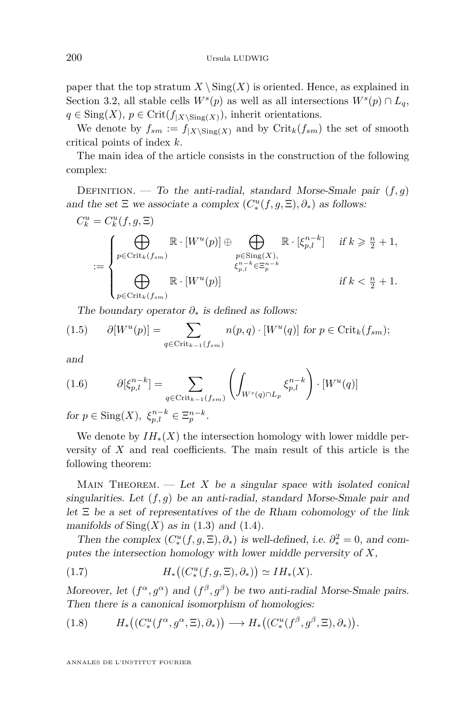paper that the top stratum  $X \setminus Sing(X)$  is oriented. Hence, as explained in Section [3.2,](#page-13-1) all stable cells  $W^s(p)$  as well as all intersections  $W^s(p) \cap L_q$ ,  $q \in Sing(X), p \in Crit(f_{|X\setminus Sing(X)}),$  inherit orientations.

We denote by  $f_{sm} := f_{|X \setminus \text{Sing}(X)}$  and by  $\text{Crit}_k(f_{sm})$  the set of smooth critical points of index *k*.

The main idea of the article consists in the construction of the following complex:

DEFINITION. — To the anti-radial, standard Morse-Smale pair  $(f, g)$ and the set  $\Xi$  we associate a complex  $(C^u_*(f, g, \Xi), \partial_*)$  as follows:

$$
C_k^u = C_k^u(f, g, \Xi)
$$
  

$$
:= \begin{cases} \bigoplus_{p \in \text{Crit}_k(f_{sm})} \mathbb{R} \cdot [W^u(p)] \oplus \bigoplus_{\substack{p \in \text{Sing}(X), \\ \xi_{p,l}^{n-k} \in \Xi_p^{n-k} \\ \text{if } k \geq \frac{n}{2} + 1, \\ p \in \text{Crit}_k(f_{sm})} \mathbb{R} \cdot [W^u(p)] & \text{if } k < \frac{n}{2} + 1. \end{cases}
$$

The boundary operator *∂*<sup>∗</sup> is defined as follows:

(1.5) 
$$
\partial[W^u(p)] = \sum_{q \in \text{Crit}_{k-1}(f_{sm})} n(p,q) \cdot [W^u(q)] \text{ for } p \in \text{Crit}_k(f_{sm});
$$

and

<span id="page-4-1"></span>(1.6) 
$$
\partial[\xi_{p,l}^{n-k}] = \sum_{q \in \text{Crit}_{k-1}(f_{sm})} \left( \int_{W^s(q) \cap L_p} \xi_{p,l}^{n-k} \right) \cdot [W^u(q)]
$$

for  $p \in \text{Sing}(X)$ ,  $\xi_{p,l}^{n-k} \in \Xi_p^{n-k}$ .

We denote by  $IH_*(X)$  the intersection homology with lower middle perversity of *X* and real coefficients. The main result of this article is the following theorem:

MAIN THEOREM.  $\qquad$  Let *X* be a singular space with isolated conical singularities. Let (*f, g*) be an anti-radial, standard Morse-Smale pair and let  $\Xi$  be a set of representatives of the de Rham cohomology of the link manifolds of  $\text{Sing}(X)$  as in [\(1.3\)](#page-3-0) and [\(1.4\)](#page-3-1).

Then the complex  $(C^u_*(f, g, \Xi), \partial_*)$  is well-defined, i.e.  $\partial_*^2 = 0$ , and computes the intersection homology with lower middle perversity of *X*,

<span id="page-4-2"></span>(1.7) 
$$
H_*\big((C_*^u(f,g,\Xi),\partial_*)\big) \simeq IH_*(X).
$$

Moreover, let  $(f^{\alpha}, g^{\alpha})$  and  $(f^{\beta}, g^{\beta})$  be two anti-radial Morse-Smale pairs. Then there is a canonical isomorphism of homologies:

<span id="page-4-0"></span>(1.8) 
$$
H_*\big((C_*^u(f^\alpha,g^\alpha,\Xi),\partial_*)\big) \longrightarrow H_*\big((C_*^u(f^\beta,g^\beta,\Xi),\partial_*)\big).
$$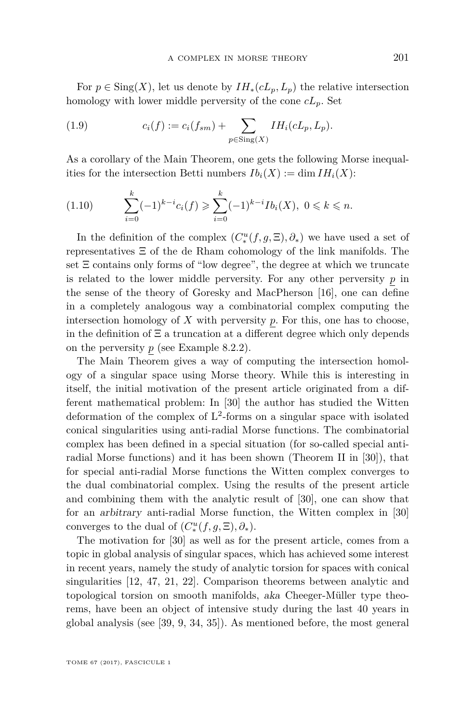For  $p \in Sing(X)$ , let us denote by  $IH_*(cL_p, L_p)$  the relative intersection homology with lower middle perversity of the cone *cLp*. Set

(1.9) 
$$
c_i(f) := c_i(f_{sm}) + \sum_{p \in \text{Sing}(X)} IH_i(cL_p, L_p).
$$

As a corollary of the Main Theorem, one gets the following Morse inequalities for the intersection Betti numbers  $Ib_i(X) := \dim IH_i(X)$ :

<span id="page-5-0"></span>
$$
(1.10) \qquad \sum_{i=0}^k (-1)^{k-i} c_i(f) \geqslant \sum_{i=0}^k (-1)^{k-i} Ib_i(X), \ 0 \leqslant k \leqslant n.
$$

In the definition of the complex  $(C^u_*(f, g, \Xi), \partial_*)$  we have used a set of representatives Ξ of the de Rham cohomology of the link manifolds. The set  $\Xi$  contains only forms of "low degree", the degree at which we truncate is related to the lower middle perversity. For any other perversity *p* in the sense of the theory of Goresky and MacPherson [\[16\]](#page-38-5), one can define in a completely analogous way a combinatorial complex computing the intersection homology of  $X$  with perversity  $p$ . For this, one has to choose, in the definition of  $\Xi$  a truncation at a different degree which only depends on the perversity  $p$  (see Example [8.2.2\)](#page-35-0).

The Main Theorem gives a way of computing the intersection homology of a singular space using Morse theory. While this is interesting in itself, the initial motivation of the present article originated from a different mathematical problem: In [\[30\]](#page-39-6) the author has studied the Witten deformation of the complex of L 2 -forms on a singular space with isolated conical singularities using anti-radial Morse functions. The combinatorial complex has been defined in a special situation (for so-called special antiradial Morse functions) and it has been shown (Theorem II in [\[30\]](#page-39-6)), that for special anti-radial Morse functions the Witten complex converges to the dual combinatorial complex. Using the results of the present article and combining them with the analytic result of [\[30\]](#page-39-6), one can show that for an arbitrary anti-radial Morse function, the Witten complex in [\[30\]](#page-39-6) converges to the dual of  $(C_*^u(f, g, \Xi), \partial_*)$ .

The motivation for [\[30\]](#page-39-6) as well as for the present article, comes from a topic in global analysis of singular spaces, which has achieved some interest in recent years, namely the study of analytic torsion for spaces with conical singularities [\[12,](#page-38-8) [47,](#page-39-7) [21,](#page-38-9) [22\]](#page-38-10). Comparison theorems between analytic and topological torsion on smooth manifolds, aka Cheeger-Müller type theorems, have been an object of intensive study during the last 40 years in global analysis (see [\[39,](#page-39-8) [9,](#page-38-11) [34,](#page-39-9) [35\]](#page-39-10)). As mentioned before, the most general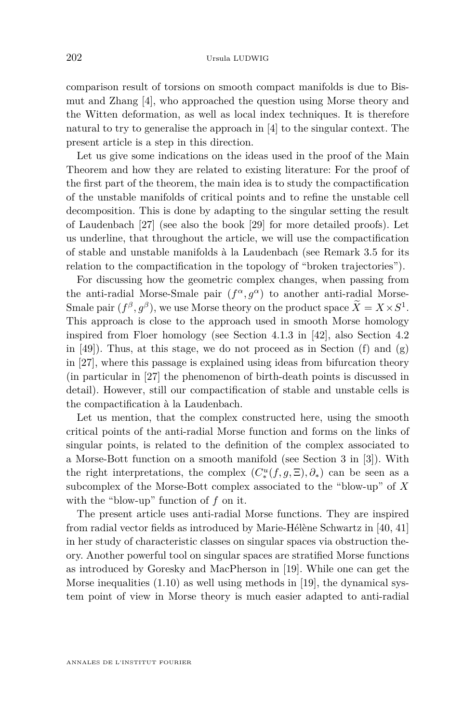comparison result of torsions on smooth compact manifolds is due to Bismut and Zhang [\[4\]](#page-38-4), who approached the question using Morse theory and the Witten deformation, as well as local index techniques. It is therefore natural to try to generalise the approach in [\[4\]](#page-38-4) to the singular context. The present article is a step in this direction.

Let us give some indications on the ideas used in the proof of the Main Theorem and how they are related to existing literature: For the proof of the first part of the theorem, the main idea is to study the compactification of the unstable manifolds of critical points and to refine the unstable cell decomposition. This is done by adapting to the singular setting the result of Laudenbach [\[27\]](#page-39-5) (see also the book [\[29\]](#page-39-11) for more detailed proofs). Let us underline, that throughout the article, we will use the compactification of stable and unstable manifolds à la Laudenbach (see Remark [3.5](#page-15-0) for its relation to the compactification in the topology of "broken trajectories").

For discussing how the geometric complex changes, when passing from the anti-radial Morse-Smale pair  $(f^{\alpha}, g^{\alpha})$  to another anti-radial Morse-Smale pair  $(f^{\beta}, g^{\beta})$ , we use Morse theory on the product space  $\overline{X} = X \times S^1$ . This approach is close to the approach used in smooth Morse homology inspired from Floer homology (see Section 4.1.3 in [\[42\]](#page-39-12), also Section 4.2 in  $[49]$ . Thus, at this stage, we do not proceed as in Section  $(f)$  and  $(g)$ in [\[27\]](#page-39-5), where this passage is explained using ideas from bifurcation theory (in particular in [\[27\]](#page-39-5) the phenomenon of birth-death points is discussed in detail). However, still our compactification of stable and unstable cells is the compactification à la Laudenbach.

Let us mention, that the complex constructed here, using the smooth critical points of the anti-radial Morse function and forms on the links of singular points, is related to the definition of the complex associated to a Morse-Bott function on a smooth manifold (see Section 3 in [\[3\]](#page-37-0)). With the right interpretations, the complex  $(C^u_*(f, g, \Xi), \partial_*)$  can be seen as a subcomplex of the Morse-Bott complex associated to the "blow-up" of *X* with the "blow-up" function of *f* on it.

The present article uses anti-radial Morse functions. They are inspired from radial vector fields as introduced by Marie-Hélène Schwartz in [\[40,](#page-39-14) [41\]](#page-39-15) in her study of characteristic classes on singular spaces via obstruction theory. Another powerful tool on singular spaces are stratified Morse functions as introduced by Goresky and MacPherson in [\[19\]](#page-38-12). While one can get the Morse inequalities  $(1.10)$  as well using methods in [\[19\]](#page-38-12), the dynamical system point of view in Morse theory is much easier adapted to anti-radial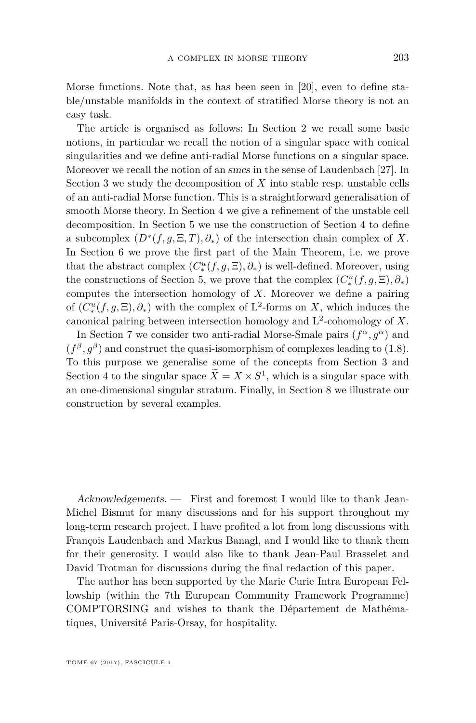Morse functions. Note that, as has been seen in [\[20\]](#page-38-13), even to define stable/unstable manifolds in the context of stratified Morse theory is not an easy task.

The article is organised as follows: In Section [2](#page-7-0) we recall some basic notions, in particular we recall the notion of a singular space with conical singularities and we define anti-radial Morse functions on a singular space. Moreover we recall the notion of an smcs in the sense of Laudenbach [\[27\]](#page-39-5). In Section [3](#page-12-1) we study the decomposition of *X* into stable resp. unstable cells of an anti-radial Morse function. This is a straightforward generalisation of smooth Morse theory. In Section [4](#page-16-0) we give a refinement of the unstable cell decomposition. In Section [5](#page-20-1) we use the construction of Section [4](#page-16-0) to define a subcomplex  $(D^*(f, g, \Xi, T), \partial_*)$  of the intersection chain complex of *X*. In Section [6](#page-23-0) we prove the first part of the Main Theorem, i.e. we prove that the abstract complex  $(C^u_*(f, g, \Xi), \partial_*)$  is well-defined. Moreover, using the constructions of Section [5,](#page-20-1) we prove that the complex  $(C^u_*(f, g, \Xi), \partial_*)$ computes the intersection homology of *X*. Moreover we define a pairing of  $(C^u_*(f, g, \Xi), \partial_*)$  with the complex of L<sup>2</sup>-forms on *X*, which induces the canonical pairing between intersection homology and L 2 -cohomology of *X*.

In Section [7](#page-27-0) we consider two anti-radial Morse-Smale pairs  $(f^{\alpha}, g^{\alpha})$  and  $(f^{\beta}, g^{\beta})$  and construct the quasi-isomorphism of complexes leading to [\(1.8\)](#page-4-0). To this purpose we generalise some of the concepts from Section [3](#page-12-1) and Section [4](#page-16-0) to the singular space  $\overline{X} = X \times S^1$ , which is a singular space with an one-dimensional singular stratum. Finally, in Section [8](#page-33-0) we illustrate our construction by several examples.

Acknowledgements. — First and foremost I would like to thank Jean-Michel Bismut for many discussions and for his support throughout my long-term research project. I have profited a lot from long discussions with François Laudenbach and Markus Banagl, and I would like to thank them for their generosity. I would also like to thank Jean-Paul Brasselet and David Trotman for discussions during the final redaction of this paper.

<span id="page-7-0"></span>The author has been supported by the Marie Curie Intra European Fellowship (within the 7th European Community Framework Programme) COMPTORSING and wishes to thank the Département de Mathématiques, Université Paris-Orsay, for hospitality.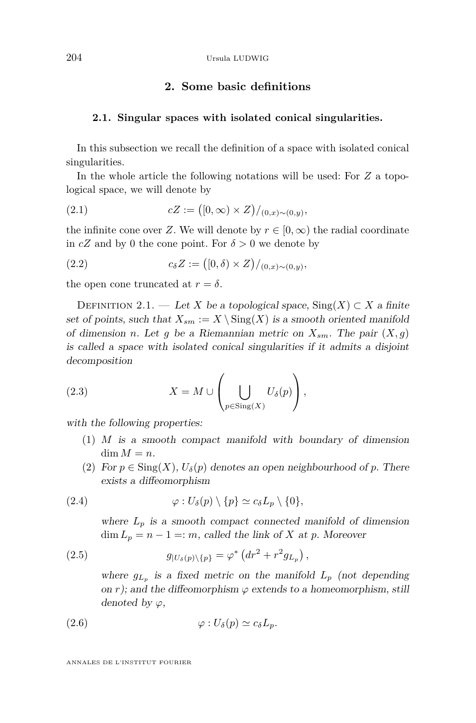# **2. Some basic definitions**

#### <span id="page-8-2"></span>**2.1. Singular spaces with isolated conical singularities.**

In this subsection we recall the definition of a space with isolated conical singularities.

In the whole article the following notations will be used: For *Z* a topological space, we will denote by

(2.1) 
$$
cZ := ([0, \infty) \times Z) /_{(0,x) \sim (0,y)},
$$

the infinite cone over *Z*. We will denote by  $r \in [0, \infty)$  the radial coordinate in  $cZ$  and by 0 the cone point. For  $\delta > 0$  we denote by

(2.2) 
$$
c_{\delta} Z := ([0, \delta) \times Z) /_{(0, x) \sim (0, y)},
$$

the open cone truncated at  $r = \delta$ .

<span id="page-8-0"></span>DEFINITION 2.1. — Let *X* be a topological space,  $\text{Sing}(X) \subset X$  a finite set of points, such that  $X_{sm} := X \setminus \text{Sing}(X)$  is a smooth oriented manifold of dimension *n*. Let *g* be a Riemannian metric on  $X_{sm}$ . The pair  $(X, g)$ is called a space with isolated conical singularities if it admits a disjoint decomposition

(2.3) 
$$
X = M \cup \left(\bigcup_{p \in \text{Sing}(X)} U_{\delta}(p)\right),
$$

with the following properties:

- (1) *M* is a smooth compact manifold with boundary of dimension  $\dim M = n$ .
- (2) For  $p \in Sing(X)$ ,  $U_{\delta}(p)$  denotes an open neighbourhood of p. There exists a diffeomorphism

(2.4) 
$$
\varphi: U_{\delta}(p) \setminus \{p\} \simeq c_{\delta} L_p \setminus \{0\},
$$

where  $L_p$  is a smooth compact connected manifold of dimension  $\dim L_p = n - 1 =: m$ , called the link of *X* at *p*. Moreover

(2.5) 
$$
g_{|U_{\delta}(p)\setminus\{p\}} = \varphi^* \left( dr^2 + r^2 g_{L_p} \right),
$$

<span id="page-8-1"></span>where  $g_{L_p}$  is a fixed metric on the manifold  $L_p$  (not depending on *r*); and the diffeomorphism  $\varphi$  extends to a homeomorphism, still denoted by *ϕ*,

$$
(2.6) \t\t \t\t \varphi: U_{\delta}(p) \simeq c_{\delta}L_p.
$$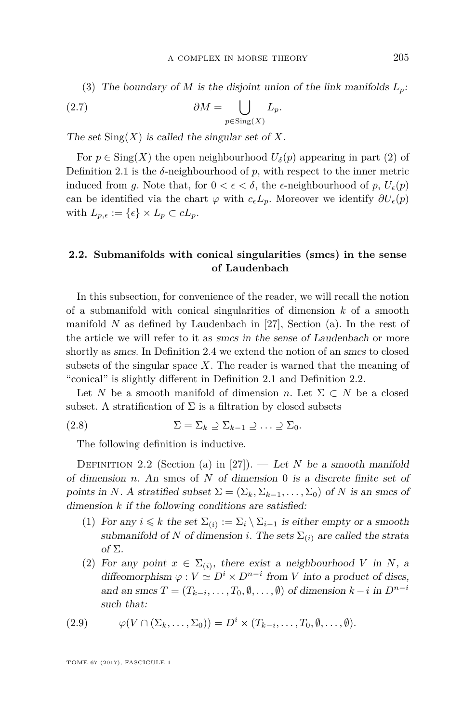(3) The boundary of *M* is the disjoint union of the link manifolds  $L_p$ :

(2.7) 
$$
\partial M = \bigcup_{p \in \text{Sing}(X)} L_p.
$$

The set  $\text{Sing}(X)$  is called the singular set of X.

For  $p \in Sing(X)$  the open neighbourhood  $U_{\delta}(p)$  appearing in part (2) of Definition [2.1](#page-8-0) is the  $\delta$ -neighbourhood of  $p$ , with respect to the inner metric induced from *g*. Note that, for  $0 < \epsilon < \delta$ , the  $\epsilon$ -neighbourhood of *p*,  $U_{\epsilon}(p)$ can be identified via the chart  $\varphi$  with  $c_{\epsilon}L_p$ . Moreover we identify  $\partial U_{\epsilon}(p)$ with  $L_{p,\epsilon} := {\epsilon} \times L_p \subset cL_p$ .

# **2.2. Submanifolds with conical singularities (smcs) in the sense of Laudenbach**

In this subsection, for convenience of the reader, we will recall the notion of a submanifold with conical singularities of dimension *k* of a smooth manifold *N* as defined by Laudenbach in [\[27\]](#page-39-5), Section (a). In the rest of the article we will refer to it as smcs in the sense of Laudenbach or more shortly as smcs. In Definition [2.4](#page-10-0) we extend the notion of an smcs to closed subsets of the singular space *X*. The reader is warned that the meaning of "conical" is slightly different in Definition [2.1](#page-8-0) and Definition [2.2.](#page-9-0)

Let *N* be a smooth manifold of dimension *n*. Let  $\Sigma \subset N$  be a closed subset. A stratification of  $\Sigma$  is a filtration by closed subsets

$$
(2.8) \qquad \qquad \Sigma = \Sigma_k \supseteq \Sigma_{k-1} \supseteq \ldots \supseteq \Sigma_0.
$$

The following definition is inductive.

<span id="page-9-0"></span>DEFINITION 2.2 (Section (a) in [\[27\]](#page-39-5)). — Let *N* be a smooth manifold of dimension *n*. An smcs of *N* of dimension 0 is a discrete finite set of points in *N*. A stratified subset  $\Sigma = (\Sigma_k, \Sigma_{k-1}, \dots, \Sigma_0)$  of *N* is an smcs of dimension *k* if the following conditions are satisfied:

- (1) For any  $i \leq k$  the set  $\Sigma_{(i)} := \Sigma_i \setminus \Sigma_{i-1}$  is either empty or a smooth submanifold of *N* of dimension *i*. The sets  $\Sigma_{(i)}$  are called the strata of Σ.
- (2) For any point  $x \in \Sigma_{(i)}$ , there exist a neighbourhood *V* in *N*, a diffeomorphism  $\varphi : V \simeq D^i \times D^{n-i}$  from *V* into a product of discs, and an smcs  $T = (T_{k-i}, \ldots, T_0, \emptyset, \ldots, \emptyset)$  of dimension  $k-i$  in  $D^{n-i}$ such that:

(2.9) 
$$
\varphi(V \cap (\Sigma_k, \dots, \Sigma_0)) = D^i \times (T_{k-i}, \dots, T_0, \emptyset, \dots, \emptyset).
$$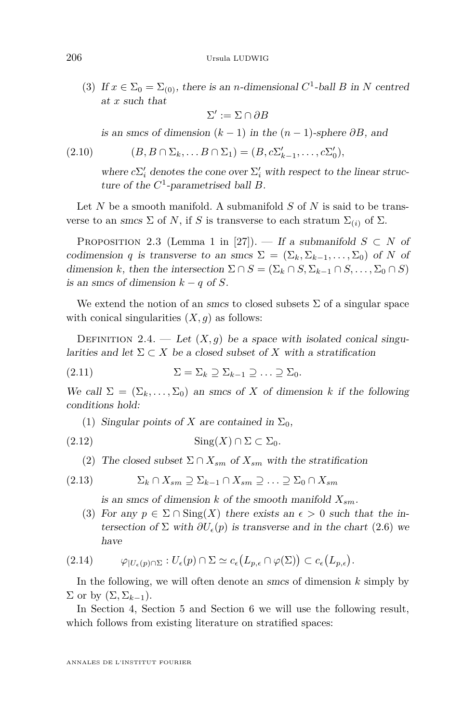(3) If  $x \in \Sigma_0 = \Sigma_{(0)}$ , there is an *n*-dimensional  $C^1$ -ball *B* in *N* centred at *x* such that

$$
\Sigma':=\Sigma\cap \partial B
$$

is an smcs of dimension  $(k-1)$  in the  $(n-1)$ -sphere  $\partial B$ , and

$$
(2.10) \qquad (B, B \cap \Sigma_k, \dots B \cap \Sigma_1) = (B, c\Sigma'_{k-1}, \dots, c\Sigma'_0),
$$

where  $c\Sigma_i'$  denotes the cone over  $\Sigma_i'$  with respect to the linear structure of the *C* 1 -parametrised ball *B*.

Let *N* be a smooth manifold. A submanifold *S* of *N* is said to be transverse to an smcs  $\Sigma$  of *N*, if *S* is transverse to each stratum  $\Sigma_{(i)}$  of  $\Sigma$ .

<span id="page-10-1"></span>PROPOSITION 2.3 (Lemma 1 in [\[27\]](#page-39-5)). — If a submanifold  $S \subset N$  of codimension *q* is transverse to an smcs  $\Sigma = (\Sigma_k, \Sigma_{k-1}, \dots, \Sigma_0)$  of *N* of dimension *k*, then the intersection  $\Sigma \cap S = (\Sigma_k \cap S, \Sigma_{k-1} \cap S, \dots, \Sigma_0 \cap S)$ is an smcs of dimension  $k - q$  of *S*.

We extend the notion of an smcs to closed subsets  $\Sigma$  of a singular space with conical singularities  $(X, g)$  as follows:

<span id="page-10-0"></span>DEFINITION 2.4. — Let  $(X, g)$  be a space with isolated conical singularities and let  $\Sigma \subset X$  be a closed subset of X with a stratification

$$
(2.11) \qquad \qquad \Sigma = \Sigma_k \supseteq \Sigma_{k-1} \supseteq \ldots \supseteq \Sigma_0.
$$

We call  $\Sigma = (\Sigma_k, \dots, \Sigma_0)$  an smcs of X of dimension k if the following conditions hold:

(1) Singular points of *X* are contained in  $\Sigma_0$ ,

$$
(2.12)\qquad \qquad \text{Sing}(X)\cap\Sigma\subset\Sigma_0.
$$

(2) The closed subset  $\Sigma \cap X_{sm}$  of  $X_{sm}$  with the stratification

$$
(2.13) \qquad \qquad \Sigma_k \cap X_{sm} \supseteq \Sigma_{k-1} \cap X_{sm} \supseteq \ldots \supseteq \Sigma_0 \cap X_{sm}
$$

is an smcs of dimension *k* of the smooth manifold *Xsm*.

(3) For any  $p \in \Sigma \cap \text{Sing}(X)$  there exists an  $\epsilon > 0$  such that the intersection of  $\Sigma$  with  $\partial U_{\epsilon}(p)$  is transverse and in the chart [\(2.6\)](#page-8-1) we have

$$
(2.14) \qquad \varphi_{|U_{\epsilon}(p)\cap\Sigma}: U_{\epsilon}(p)\cap\Sigma \simeq c_{\epsilon}(L_{p,\epsilon}\cap\varphi(\Sigma)) \subset c_{\epsilon}(L_{p,\epsilon}).
$$

In the following, we will often denote an smcs of dimension *k* simply by  $\Sigma$  or by  $(\Sigma, \Sigma_{k-1})$ .

In Section [4,](#page-16-0) Section [5](#page-20-1) and Section [6](#page-23-0) we will use the following result, which follows from existing literature on stratified spaces: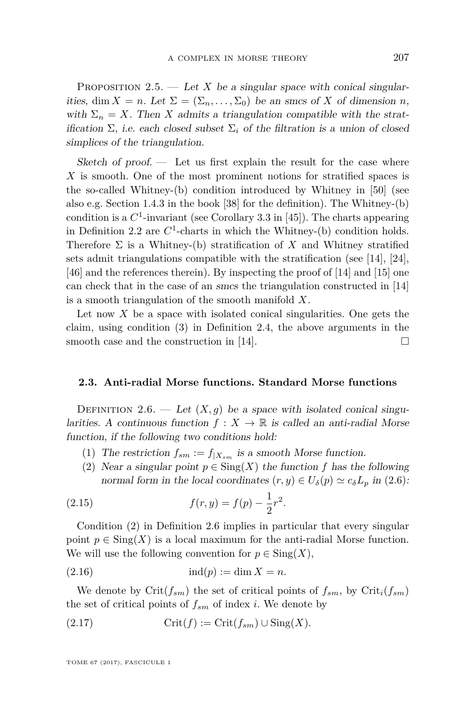<span id="page-11-1"></span>PROPOSITION 2.5. — Let X be a singular space with conical singularities, dim  $X = n$ . Let  $\Sigma = (\Sigma_n, \dots, \Sigma_0)$  be an smcs of X of dimension *n*, with  $\Sigma_n = X$ . Then *X* admits a triangulation compatible with the stratification  $\Sigma$ , i.e. each closed subset  $\Sigma_i$  of the filtration is a union of closed simplices of the triangulation.

Sketch of proof.  $\qquad$  Let us first explain the result for the case where *X* is smooth. One of the most prominent notions for stratified spaces is the so-called Whitney-(b) condition introduced by Whitney in [\[50\]](#page-40-1) (see also e.g. Section 1.4.3 in the book [\[38\]](#page-39-16) for the definition). The Whitney-(b) condition is a  $C^1$ -invariant (see Corollary 3.3 in [\[45\]](#page-39-17)). The charts appearing in Definition [2.2](#page-9-0) are  $C^1$ -charts in which the Whitney-(b) condition holds. Therefore  $\Sigma$  is a Whitney-(b) stratification of *X* and Whitney stratified sets admit triangulations compatible with the stratification (see [\[14\]](#page-38-14), [\[24\]](#page-38-15), [\[46\]](#page-39-18) and the references therein). By inspecting the proof of [\[14\]](#page-38-14) and [\[15\]](#page-38-16) one can check that in the case of an smcs the triangulation constructed in [\[14\]](#page-38-14) is a smooth triangulation of the smooth manifold *X*.

Let now  $X$  be a space with isolated conical singularities. One gets the claim, using condition (3) in Definition [2.4,](#page-10-0) the above arguments in the smooth case and the construction in [\[14\]](#page-38-14).  $\Box$ 

# **2.3. Anti-radial Morse functions. Standard Morse functions**

<span id="page-11-0"></span>DEFINITION 2.6. — Let  $(X, g)$  be a space with isolated conical singularities. A continuous function  $f: X \to \mathbb{R}$  is called an anti-radial Morse function, if the following two conditions hold:

- (1) The restriction  $f_{sm} := f_{|X_{sm}|}$  is a smooth Morse function.
- (2) Near a singular point  $p \in Sing(X)$  the function  $f$  has the following normal form in the local coordinates  $(r, y) \in U_{\delta}(p) \simeq c_{\delta}L_p$  in [\(2.6\)](#page-8-1):

(2.15) 
$$
f(r, y) = f(p) - \frac{1}{2}r^2.
$$

Condition (2) in Definition [2.6](#page-11-0) implies in particular that every singular point  $p \in Sing(X)$  is a local maximum for the anti-radial Morse function. We will use the following convention for  $p \in \text{Sing}(X)$ ,

(2.16) ind(*p*) := dim *X* = *n.*

We denote by  $\operatorname{Crit}(f_{sm})$  the set of critical points of  $f_{sm}$ , by  $\operatorname{Crit}_i(f_{sm})$ the set of critical points of  $f_{sm}$  of index *i*. We denote by

$$
(2.17) \t\t\t Crit(f) := Crit(f_{sm}) \cup Sing(X).
$$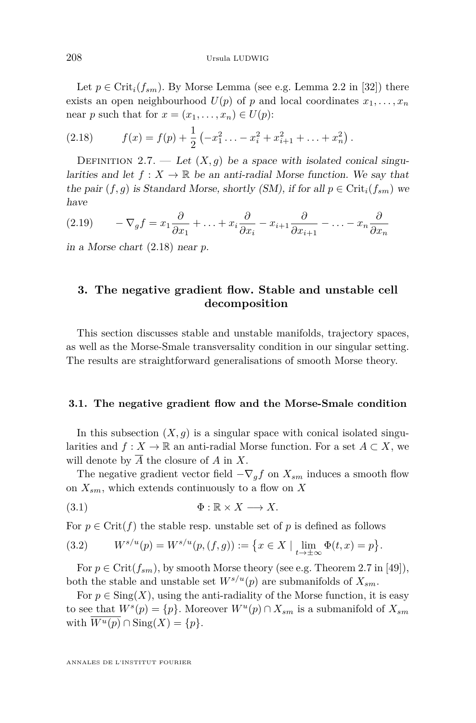Let  $p \in \text{Crit}_i(f_{sm})$ . By Morse Lemma (see e.g. Lemma 2.2 in [\[32\]](#page-39-19)) there exists an open neighbourhood  $U(p)$  of  $p$  and local coordinates  $x_1, \ldots, x_n$ near *p* such that for  $x = (x_1, \ldots, x_n) \in U(p)$ :

<span id="page-12-2"></span>(2.18) 
$$
f(x) = f(p) + \frac{1}{2} \left( -x_1^2 \ldots - x_i^2 + x_{i+1}^2 + \ldots + x_n^2 \right).
$$

<span id="page-12-0"></span>DEFINITION 2.7. — Let  $(X, q)$  be a space with isolated conical singularities and let  $f: X \to \mathbb{R}$  be an anti-radial Morse function. We say that the pair  $(f, g)$  is Standard Morse, shortly (SM), if for all  $p \in \text{Crit}_i(f_{sm})$  we have

$$
(2.19) \qquad -\nabla_g f = x_1 \frac{\partial}{\partial x_1} + \ldots + x_i \frac{\partial}{\partial x_i} - x_{i+1} \frac{\partial}{\partial x_{i+1}} - \ldots - x_n \frac{\partial}{\partial x_n}
$$

in a Morse chart [\(2.18\)](#page-12-2) near *p*.

# <span id="page-12-1"></span>**3. The negative gradient flow. Stable and unstable cell decomposition**

This section discusses stable and unstable manifolds, trajectory spaces, as well as the Morse-Smale transversality condition in our singular setting. The results are straightforward generalisations of smooth Morse theory.

#### **3.1. The negative gradient flow and the Morse-Smale condition**

In this subsection  $(X, g)$  is a singular space with conical isolated singularities and  $f: X \to \mathbb{R}$  an anti-radial Morse function. For a set  $A \subset X$ , we will denote by  $\overline{A}$  the closure of  $A$  in  $X$ .

The negative gradient vector field  $-\nabla_g f$  on  $X_{sm}$  induces a smooth flow on *Xsm*, which extends continuously to a flow on *X*

$$
\Phi: \mathbb{R} \times X \longrightarrow X.
$$

For  $p \in \text{Crit}(f)$  the stable resp. unstable set of p is defined as follows

(3.2) 
$$
W^{s/u}(p) = W^{s/u}(p,(f,g)) := \{x \in X \mid \lim_{t \to \pm \infty} \Phi(t,x) = p\}.
$$

For  $p \in \text{Crit}(f_{sm})$ , by smooth Morse theory (see e.g. Theorem 2.7 in [\[49\]](#page-39-13)), both the stable and unstable set  $W^{s/u}(p)$  are submanifolds of  $X_{sm}$ .

For  $p \in Sing(X)$ , using the anti-radiality of the Morse function, it is easy to see that  $W^s(p) = \{p\}$ . Moreover  $W^u(p) \cap X_{sm}$  is a submanifold of  $X_{sm}$ with  $W^u(p) \cap \text{Sing}(X) = \{p\}.$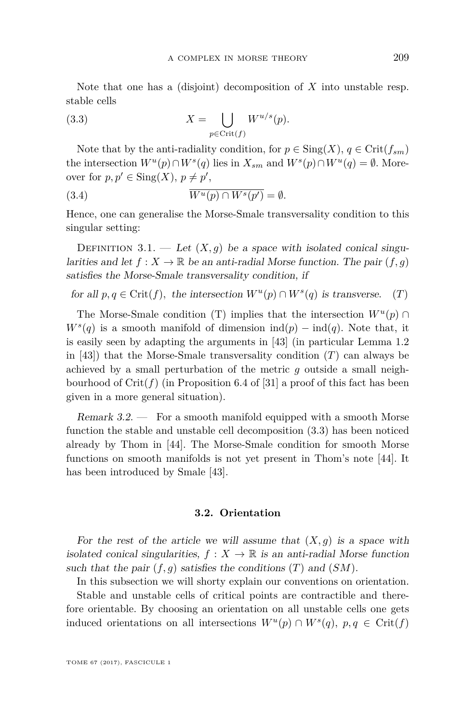Note that one has a (disjoint) decomposition of *X* into unstable resp. stable cells

<span id="page-13-2"></span>(3.3) 
$$
X = \bigcup_{p \in \text{Crit}(f)} W^{u/s}(p).
$$

Note that by the anti-radiality condition, for  $p \in Sing(X)$ ,  $q \in Crit(f_{sm})$ the intersection  $W^u(p) \cap W^s(q)$  lies in  $X_{sm}$  and  $W^s(p) \cap W^u(q) = \emptyset$ . Moreover for  $p, p' \in Sing(X), p \neq p'$ ,

(3.4) 
$$
\overline{W^u(p) \cap W^s(p')} = \emptyset.
$$

Hence, one can generalise the Morse-Smale transversality condition to this singular setting:

<span id="page-13-0"></span>DEFINITION 3.1. — Let  $(X, g)$  be a space with isolated conical singularities and let  $f: X \to \mathbb{R}$  be an anti-radial Morse function. The pair  $(f, g)$ satisfies the Morse-Smale transversality condition, if

for all 
$$
p, q \in \text{Crit}(f)
$$
, the intersection  $W^u(p) \cap W^s(q)$  is transverse. (T)

The Morse-Smale condition (T) implies that the intersection  $W^u(p) \cap$  $W^s(q)$  is a smooth manifold of dimension ind(*p*) − ind(*q*). Note that, it is easily seen by adapting the arguments in [\[43\]](#page-39-1) (in particular Lemma 1.2 in  $[43]$ ) that the Morse-Smale transversality condition  $(T)$  can always be achieved by a small perturbation of the metric *g* outside a small neighbourhood of  $Crit(f)$  (in Proposition 6.4 of [\[31\]](#page-39-4) a proof of this fact has been given in a more general situation).

Remark 3.2. — For a smooth manifold equipped with a smooth Morse function the stable and unstable cell decomposition [\(3.3\)](#page-13-2) has been noticed already by Thom in [\[44\]](#page-39-0). The Morse-Smale condition for smooth Morse functions on smooth manifolds is not yet present in Thom's note [\[44\]](#page-39-0). It has been introduced by Smale [\[43\]](#page-39-1).

#### **3.2. Orientation**

<span id="page-13-1"></span>For the rest of the article we will assume that  $(X, g)$  is a space with isolated conical singularities,  $f: X \to \mathbb{R}$  is an anti-radial Morse function such that the pair  $(f, g)$  satisfies the conditions  $(T)$  and  $(SM)$ .

In this subsection we will shorty explain our conventions on orientation. Stable and unstable cells of critical points are contractible and therefore orientable. By choosing an orientation on all unstable cells one gets induced orientations on all intersections  $W^u(p) \cap W^s(q)$ ,  $p, q \in \text{Crit}(f)$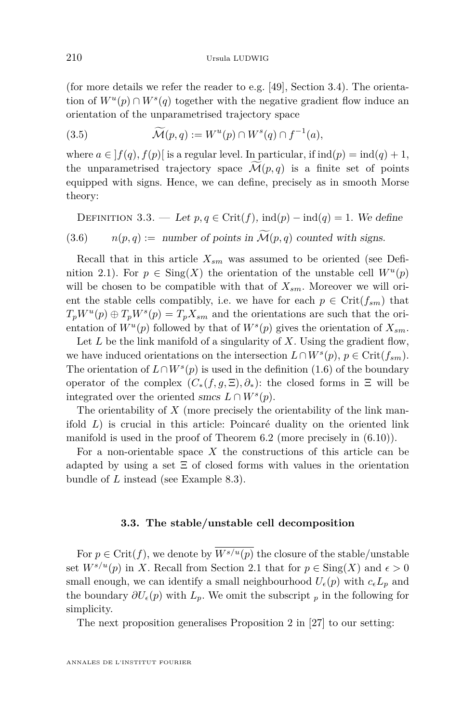(for more details we refer the reader to e.g. [\[49\]](#page-39-13), Section 3.4). The orientation of  $W^u(p) \cap W^s(q)$  together with the negative gradient flow induce an orientation of the unparametrised trajectory space

(3.5) 
$$
\widetilde{\mathcal{M}}(p,q) := W^u(p) \cap W^s(q) \cap f^{-1}(a),
$$

where  $a \in |f(q), f(p)|$  is a regular level. In particular, if  $ind(p) = ind(q) + 1$ , the unparametrised trajectory space  $\mathcal{M}(p,q)$  is a finite set of points equipped with signs. Hence, we can define, precisely as in smooth Morse theory:

<span id="page-14-0"></span>DEFINITION 3.3. — Let  $p, q \in \text{Crit}(f)$ ,  $\text{ind}(p) - \text{ind}(q) = 1$ . We define  $n(p,q) :=$  number of points in  $\mathcal{M}(p,q)$  counted with signs.

Recall that in this article *Xsm* was assumed to be oriented (see Defi-nition [2.1\)](#page-8-0). For  $p \in Sing(X)$  the orientation of the unstable cell  $W^u(p)$ will be chosen to be compatible with that of  $X_{sm}$ . Moreover we will orient the stable cells compatibly, i.e. we have for each  $p \in \text{Crit}(f_{sm})$  that  $T_p W^u(p) \oplus T_p W^s(p) = T_p X_{sm}$  and the orientations are such that the orientation of  $W^u(p)$  followed by that of  $W^s(p)$  gives the orientation of  $X_{sm}$ .

Let *L* be the link manifold of a singularity of *X*. Using the gradient flow, we have induced orientations on the intersection  $L \cap W^s(p)$ ,  $p \in \text{Crit}(f_{sm})$ . The orientation of  $L \cap W^s(p)$  is used in the definition [\(1.6\)](#page-4-1) of the boundary operator of the complex  $(C_*(f, g, \Xi), \partial_*)$ : the closed forms in  $\Xi$  will be integrated over the oriented smcs  $L \cap W^s(p)$ .

The orientability of *X* (more precisely the orientability of the link manifold *L*) is crucial in this article: Poincaré duality on the oriented link manifold is used in the proof of Theorem [6.2](#page-25-0) (more precisely in [\(6.10\)](#page-26-0)).

For a non-orientable space *X* the constructions of this article can be adapted by using a set  $\Xi$  of closed forms with values in the orientation bundle of *L* instead (see Example [8.3\)](#page-36-0).

#### **3.3. The stable/unstable cell decomposition**

For  $p \in \text{Crit}(f)$ , we denote by  $W^{s/u}(p)$  the closure of the stable/unstable set  $W^{s/u}(p)$  in *X*. Recall from Section [2.1](#page-8-2) that for  $p \in Sing(X)$  and  $\epsilon > 0$ small enough, we can identify a small neighbourhood  $U_{\epsilon}(p)$  with  $c_{\epsilon}L_p$  and the boundary  $\partial U_{\epsilon}(p)$  with  $L_p$ . We omit the subscript  $_p$  in the following for simplicity.

The next proposition generalises Proposition 2 in [\[27\]](#page-39-5) to our setting: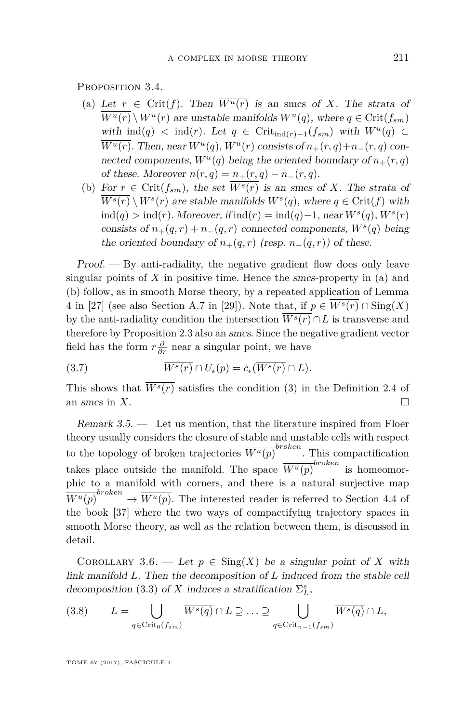<span id="page-15-1"></span>PROPOSITION 3.4.

- (a) Let  $r \in \text{Crit}(f)$ . Then  $\overline{W^u(r)}$  is an smcs of X. The strata of  $W^u(r) \setminus W^u(r)$  are unstable manifolds  $W^u(q)$ , where  $q \in \text{Crit}(f_{sm})$ with ind(*q*) < ind(*r*). Let *q* ∈ Crit<sub>ind(*r*)−1(*f*<sub>*sm*</sub>) with  $W^u(q)$  ⊂</sub>  $W^u(r)$ . Then, near  $W^u(q)$ ,  $W^u(r)$  consists of  $n_+(r,q)+n_-(r,q)$  connected components,  $W^u(q)$  being the oriented boundary of  $n_+(r,q)$ of these. Moreover  $n(r, q) = n_+(r, q) - n_-(r, q)$ .
- (b) For  $r \in \text{Crit}(f_{sm})$ , the set  $\overline{W^s(r)}$  is an smcs of *X*. The strata of  $W^s(r) \setminus W^s(r)$  are stable manifolds  $W^s(q)$ , where  $q \in \text{Crit}(f)$  with ind(*q*) *>* ind(*r*). Moreover, if ind(*r*) = ind(*q*)−1, near *W<sup>s</sup>* (*q*), *W<sup>s</sup>* (*r*) consists of  $n_+(q,r) + n_-(q,r)$  connected components,  $W^s(q)$  being the oriented boundary of  $n_{+}(q, r)$  (resp.  $n_{-}(q, r)$ ) of these.

 $Proof.$  — By anti-radiality, the negative gradient flow does only leave singular points of *X* in positive time. Hence the smcs-property in (a) and (b) follow, as in smooth Morse theory, by a repeated application of Lemma 4 in [\[27\]](#page-39-5) (see also Section A.7 in [\[29\]](#page-39-11)). Note that, if  $p \in \overline{W^s(r)} \cap \text{Sing}(X)$ by the anti-radiality condition the intersection  $\overline{W^s(r)} \cap L$  is transverse and therefore by Proposition [2.3](#page-10-1) also an smcs. Since the negative gradient vector field has the form  $r\frac{\partial}{\partial r}$  near a singular point, we have

(3.7) 
$$
\overline{W^s(r)} \cap U_{\epsilon}(p) = c_{\epsilon}(\overline{W^s(r)} \cap L).
$$

This shows that  $\overline{W^s(r)}$  satisfies the condition (3) in the Definition [2.4](#page-10-0) of an smcs in  $X$ .

<span id="page-15-0"></span>Remark  $3.5.$  — Let us mention, that the literature inspired from Floer theory usually considers the closure of stable and unstable cells with respect to the topology of broken trajectories  $\overline{W^u(p)}^{broken}$ . This compactification takes place outside the manifold. The space  $\overline{W^u(p)}^{broken}$  is homeomorphic to a manifold with corners, and there is a natural surjective map  $\overline{W^u(p)}^{broken} \rightarrow \overline{W^u(p)}$ . The interested reader is referred to Section 4.4 of the book [\[37\]](#page-39-20) where the two ways of compactifying trajectory spaces in smooth Morse theory, as well as the relation between them, is discussed in detail.

<span id="page-15-2"></span>COROLLARY 3.6. — Let  $p \in Sing(X)$  be a singular point of X with link manifold *L*. Then the decomposition of *L* induced from the stable cell decomposition [\(3.3\)](#page-13-2) of *X* induces a stratification  $\Sigma_L^s$ ,

$$
(3.8) \qquad L = \bigcup_{q \in \text{Crit}_0(f_{sm})} \overline{W^s(q)} \cap L \supseteq \ldots \supseteq \bigcup_{q \in \text{Crit}_{n-1}(f_{sm})} \overline{W^s(q)} \cap L,
$$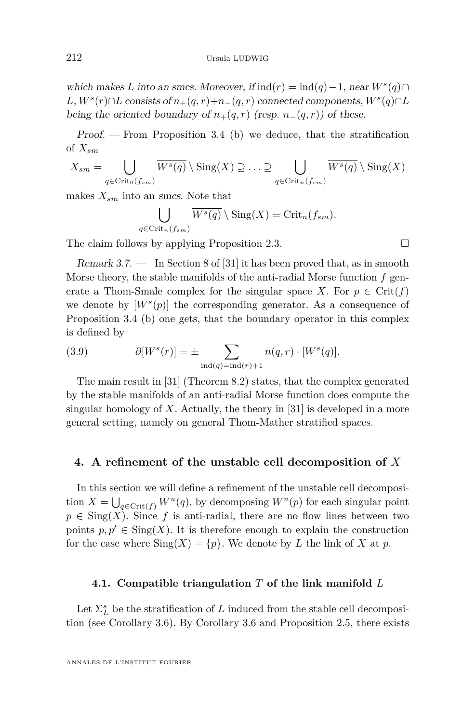which makes *L* into an smcs. Moreover, if  $\text{ind}(r) = \text{ind}(q) - 1$ , near  $W^s(q) \cap$  $L, W<sup>s</sup>(r) \cap L$  consists of  $n_{+}(q, r) + n_{-}(q, r)$  connected components,  $W<sup>s</sup>(q) \cap L$ being the oriented boundary of  $n_{+}(q, r)$  (resp.  $n_{-}(q, r)$ ) of these.

Proof. — From Proposition [3.4](#page-15-1) (b) we deduce, that the stratification of *Xsm*

$$
X_{sm} = \bigcup_{q \in \text{Crit}_0(f_{sm})} \overline{W^s(q)} \setminus \text{Sing}(X) \supseteq \ldots \supseteq \bigcup_{q \in \text{Crit}_n(f_{sm})} \overline{W^s(q)} \setminus \text{Sing}(X)
$$

makes  $X_{sm}$  into an *smcs*. Note that

$$
\bigcup_{q \in \text{Crit}_n(f_{sm})} \overline{W^s(q)} \setminus \text{Sing}(X) = \text{Crit}_n(f_{sm}).
$$

The claim follows by applying Proposition [2.3.](#page-10-1)  $\Box$ 

<span id="page-16-1"></span>Remark  $3.7.$  — In Section 8 of [\[31\]](#page-39-4) it has been proved that, as in smooth Morse theory, the stable manifolds of the anti-radial Morse function *f* generate a Thom-Smale complex for the singular space *X*. For  $p \in \text{Crit}(f)$ we denote by  $[W^s(p)]$  the corresponding generator. As a consequence of Proposition [3.4](#page-15-1) (b) one gets, that the boundary operator in this complex is defined by

(3.9) 
$$
\partial[W^s(r)] = \pm \sum_{\text{ind}(q) = \text{ind}(r) + 1} n(q, r) \cdot [W^s(q)].
$$

The main result in [\[31\]](#page-39-4) (Theorem 8.2) states, that the complex generated by the stable manifolds of an anti-radial Morse function does compute the singular homology of *X*. Actually, the theory in [\[31\]](#page-39-4) is developed in a more general setting, namely on general Thom-Mather stratified spaces.

### <span id="page-16-0"></span>**4. A refinement of the unstable cell decomposition of** *X*

In this section we will define a refinement of the unstable cell decomposition  $X = \bigcup_{q \in \text{Crit}(f)} W^u(q)$ , by decomposing  $W^u(p)$  for each singular point  $p \in \text{Sing}(X)$ . Since f is anti-radial, there are no flow lines between two points  $p, p' \in Sing(X)$ . It is therefore enough to explain the construction for the case where  $\text{Sing}(X) = \{p\}$ . We denote by *L* the link of *X* at *p*.

### **4.1. Compatible triangulation** *T* **of the link manifold** *L*

Let  $\Sigma^s_L$  be the stratification of  $L$  induced from the stable cell decomposition (see Corollary [3.6\)](#page-15-2). By Corollary [3.6](#page-15-2) and Proposition [2.5,](#page-11-1) there exists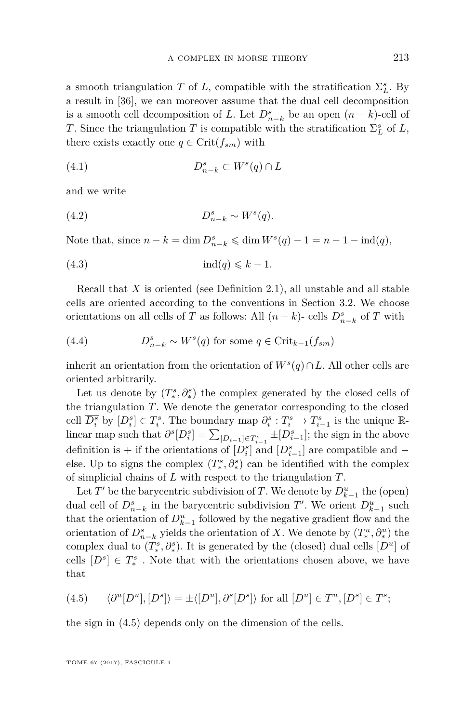a smooth triangulation *T* of *L*, compatible with the stratification  $\Sigma_L^s$ . By a result in [\[36\]](#page-39-21), we can moreover assume that the dual cell decomposition is a smooth cell decomposition of *L*. Let  $D_{n-k}^s$  be an open  $(n-k)$ -cell of *T*. Since the triangulation *T* is compatible with the stratification  $\Sigma_L^s$  of *L*, there exists exactly one  $q \in \text{Crit}(f_{sm})$  with

$$
(4.1) \t\t D_{n-k}^s \subset W^s(q) \cap L
$$

and we write

(4.2) 
$$
D_{n-k}^s \sim W^s(q).
$$

Note that, since  $n - k = \dim D_{n-k}^s \leq \dim W^s(q) - 1 = n - 1 - \text{ind}(q)$ ,

(4.3) ind(*q*) 6 *k* − 1*.*

Recall that *X* is oriented (see Definition [2.1\)](#page-8-0), all unstable and all stable cells are oriented according to the conventions in Section [3.2.](#page-13-1) We choose orientations on all cells of *T* as follows: All  $(n - k)$ - cells  $D_{n-k}^s$  of *T* with

(4.4) 
$$
D_{n-k}^s \sim W^s(q) \text{ for some } q \in \text{Crit}_{k-1}(f_{sm})
$$

inherit an orientation from the orientation of  $W^s(q) \cap L$ . All other cells are oriented arbitrarily.

Let us denote by  $(T_*^s, \partial_*^s)$  the complex generated by the closed cells of the triangulation *T*. We denote the generator corresponding to the closed cell  $\overline{D_i^s}$  by  $[D_i^s] \in T_i^s$ . The boundary map  $\partial_i^s : T_i^s \to T_{i-1}^s$  is the unique Rlinear map such that  $\partial^s[D_i^s] = \sum_{[D_{i-1}] \in T_{i-1}^s} \pm [D_{i-1}^s]$ ; the sign in the above definition is + if the orientations of  $[D_i^s]$  and  $[D_{i-1}^s]$  are compatible and  $$ else. Up to signs the complex  $(T^s_*, \partial^s_*)$  can be identified with the complex of simplicial chains of *L* with respect to the triangulation *T*.

Let  $T'$  be the barycentric subdivision of  $T$ . We denote by  $D_{k-1}^u$  the (open) dual cell of  $D_{n-k}^s$  in the barycentric subdivision  $T'$ . We orient  $D_{k-1}^u$  such that the orientation of  $D_{k-1}^u$  followed by the negative gradient flow and the orientation of  $D_{n-k}^s$  yields the orientation of *X*. We denote by  $(T_*^u, \partial_*^u)$  the complex dual to  $(T_*^s, \partial_*^s)$ . It is generated by the (closed) dual cells  $[D^u]$  of cells  $[D^s] \in T_*^s$ . Note that with the orientations chosen above, we have that

<span id="page-17-0"></span>
$$
(4.5) \qquad \langle \partial^u[D^u], [D^s] \rangle = \pm \langle [D^u], \partial^s[D^s] \rangle \text{ for all } [D^u] \in T^u, [D^s] \in T^s;
$$

the sign in [\(4.5\)](#page-17-0) depends only on the dimension of the cells.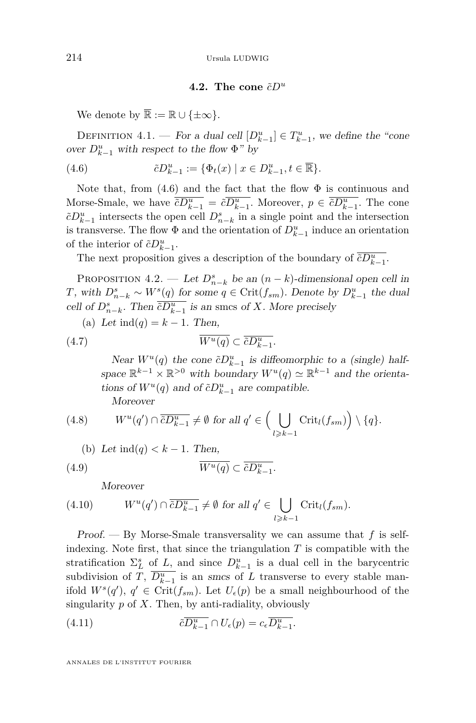# <span id="page-18-0"></span>**4.2.** The cone  $\tilde{c}D^u$

We denote by  $\overline{\mathbb{R}} := \mathbb{R} \cup \{\pm \infty\}.$ 

DEFINITION 4.1. — For a dual cell  $[D_{k-1}^u] \in T_{k-1}^u$ , we define the "cone over  $D_{k-1}^u$  with respect to the flow  $\Phi$ " by

(4.6) 
$$
\tilde{c}D_{k-1}^u := \{ \Phi_t(x) \mid x \in D_{k-1}^u, t \in \overline{\mathbb{R}} \}.
$$

Note that, from  $(4.6)$  and the fact that the flow  $\Phi$  is continuous and Morse-Smale, we have  $\overline{c}D_{k-1}^u = \overline{c}D_{k-1}^u$ . Moreover,  $p \in \overline{c}D_{k-1}^u$ . The cone  $\tilde{c}D_{k-1}^u$  intersects the open cell  $D_{n-k}^s$  in a single point and the intersection is transverse. The flow  $\Phi$  and the orientation of  $D_{k-1}^u$  induce an orientation of the interior of  $\tilde{c}D_{k-1}^u$ .

The next proposition gives a description of the boundary of  $\overline{c}D_{k-1}^u$ .

<span id="page-18-3"></span>PROPOSITION 4.2. — Let  $D_{n-k}^s$  be an  $(n-k)$ -dimensional open cell in *T*, with  $D_{n-k}^s \sim W^s(q)$  for some  $q \in \text{Crit}(f_{sm})$ . Denote by  $D_{k-1}^u$  the dual cell of  $D_{n-k}^s$ . Then  $\overline{cD_{k-1}^u}$  is an smcs of *X*. More precisely

(a) Let 
$$
ind(q) = k - 1
$$
. Then,

$$
(4.7) \t\t \overline{W^u(q)} \subset \overline{\tilde{c}D_{k-1}^u}.
$$

<span id="page-18-1"></span>Near  $W^u(q)$  the cone  $\tilde{c}D_{k-1}^u$  is diffeomorphic to a (single) halfspace  $\mathbb{R}^{k-1} \times \mathbb{R}^{>0}$  with boundary  $W^u(q) \simeq \mathbb{R}^{k-1}$  and the orientations of  $W^u(q)$  and of  $\tilde{c}D_{k-1}^u$  are compatible. Moreover

(4.8) 
$$
W^u(q') \cap \overline{\tilde{c}D_{k-1}^u} \neq \emptyset \text{ for all } q' \in \Big(\bigcup_{l \geq k-1} \text{Crit}_l(f_{sm})\Big) \setminus \{q\}.
$$

(b) Let 
$$
ind(q) < k - 1
$$
. Then,  
(4.9) 
$$
\overline{W^u(q)} \subset \overline{\tilde{c}D_{k-1}^u}.
$$

<span id="page-18-2"></span>**Moreover** 

(4.10) 
$$
W^u(q') \cap \overline{\tilde{c}D_{k-1}^u} \neq \emptyset \text{ for all } q' \in \bigcup_{l \geq k-1} \text{Crit}_l(f_{sm}).
$$

Proof. — By Morse-Smale transversality we can assume that *f* is selfindexing. Note first, that since the triangulation  $T$  is compatible with the stratification  $\Sigma_L^s$  of *L*, and since  $D_{k-1}^u$  is a dual cell in the barycentric subdivision of *T*,  $\overline{D_{k-1}^u}$  is an smcs of *L* transverse to every stable manifold  $W^s(q')$ ,  $q' \in \text{Crit}(f_{sm})$ . Let  $U_{\epsilon}(p)$  be a small neighbourhood of the singularity *p* of *X*. Then, by anti-radiality, obviously

(4.11) 
$$
\tilde{c}\overline{D_{k-1}^u} \cap U_{\epsilon}(p) = c_{\epsilon}\overline{D_{k-1}^u}.
$$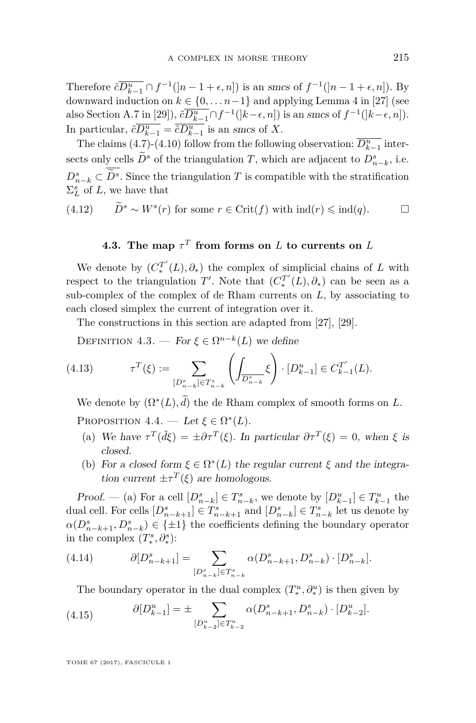Therefore  $\tilde{c} \overline{D_{k-1}^u} \cap f^{-1}([n-1+\epsilon,n])$  is an smcs of  $f^{-1}([n-1+\epsilon,n])$ . By downward induction on  $k \in \{0, \ldots n-1\}$  and applying Lemma 4 in [\[27\]](#page-39-5) (see also Section A.7 in [\[29\]](#page-39-11)),  $\tilde{c} \overline{D_{k-1}^u} \cap f^{-1}(|k-\epsilon, n|)$  is an smcs of  $f^{-1}(|k-\epsilon, n|)$ . In particular,  $\tilde{c}D_{k-1}^u = \tilde{c}D_{k-1}^u$  is an smcs of *X*.

The claims [\(4.7\)](#page-18-1)-[\(4.10\)](#page-18-2) follow from the following observation:  $\overline{D_{k-1}^u}$  intersects only cells  $D^s$  of the triangulation *T*, which are adjacent to  $D^s_{n-k}$ , i.e.  $D_{n-k}^s \subset D^s$ . Since the triangulation *T* is compatible with the stratification  $\Sigma_L^s$  of *L*, we have that

(4.12)  $\widetilde{D}^s \sim W^s(r)$  for some  $r \in \text{Crit}(f)$  with  $\text{ind}(r) \leq \text{ind}(q)$ . □

# **4.3.** The map  $\tau^T$  from forms on  $L$  to currents on  $L$

We denote by  $(C_*^{T'}(L), \partial_*)$  the complex of simplicial chains of *L* with respect to the triangulation  $T'$ . Note that  $(C_*^{T'}(L), \partial_*)$  can be seen as a sub-complex of the complex of de Rham currents on  $L$ , by associating to each closed simplex the current of integration over it.

The constructions in this section are adapted from [\[27\]](#page-39-5), [\[29\]](#page-39-11).

DEFINITION 4.3. — For  $\xi \in \Omega^{n-k}(L)$  we define

(4.13) 
$$
\tau^{T}(\xi) := \sum_{[D_{n-k}^{s}] \in T_{n-k}^{s}} \left( \int_{\overline{D_{n-k}^{s}}} \xi \right) \cdot [D_{k-1}^{u}] \in C_{k-1}^{T'}(L).
$$

<span id="page-19-0"></span>We denote by  $(\Omega^*(L), d)$  the de Rham complex of smooth forms on *L*. PROPOSITION  $4.4.$  — Let  $\xi \in \Omega^*(L)$ .

- (a) We have  $\tau^T(\tilde{d}\xi) = \pm \partial \tau^T(\xi)$ . In particular  $\partial \tau^T(\xi) = 0$ , when  $\xi$  is closed.
- (b) For a closed form  $\xi \in \Omega^*(L)$  the regular current  $\xi$  and the integration current  $\pm \tau^T(\xi)$  are homologous.

*Proof.* — (a) For a cell  $[D_{n-k}^s] \in T_{n-k}^s$ , we denote by  $[D_{k-1}^u] \in T_{k-1}^u$  the dual cell. For cells  $[D_{n-k+1}^s] \in T_{n-k+1}^s$  and  $[D_{n-k}^s] \in T_{n-k}^s$  let us denote by  $a(D_{n-k+1}^s, D_{n-k}^s) \in \{\pm 1\}$  the coefficients defining the boundary operator in the complex  $(T_*^s, \partial_*^s)$ :

$$
(4.14) \qquad \qquad \partial [D^s_{n-k+1}] = \sum_{[D^s_{n-k}] \in T^s_{n-k}} \alpha(D^s_{n-k+1}, D^s_{n-k}) \cdot [D^s_{n-k}].
$$

The boundary operator in the dual complex  $(T^u_*, \partial^u_*)$  is then given by

(4.15) 
$$
\partial [D_{k-1}^u] = \pm \sum_{[D_{k-2}^u] \in T_{k-2}^u} \alpha(D_{n-k+1}^s, D_{n-k}^s) \cdot [D_{k-2}^u].
$$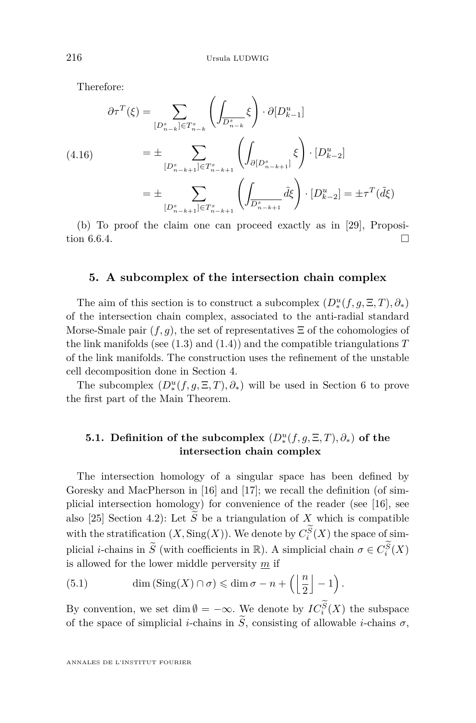Therefore:

$$
\partial \tau^{T}(\xi) = \sum_{[D_{n-k}^{s}] \in T_{n-k}^{s}} \left( \int_{\overline{D_{n-k}^{s}}} \xi \right) \cdot \partial [D_{k-1}^{u}]
$$
\n
$$
(4.16) \qquad \qquad = \pm \sum_{[D_{n-k+1}^{s}] \in T_{n-k+1}^{s}} \left( \int_{\partial [D_{n-k+1}^{s}]} \xi \right) \cdot [D_{k-2}^{u}]
$$
\n
$$
= \pm \sum_{[D_{n-k+1}^{s}] \in T_{n-k+1}^{s}} \left( \int_{\overline{D_{n-k+1}^{s}}} \tilde{d} \xi \right) \cdot [D_{k-2}^{u}] = \pm \tau^{T}(\tilde{d} \xi)
$$

(b) To proof the claim one can proceed exactly as in [\[29\]](#page-39-11), Proposition 6.6.4.

# <span id="page-20-1"></span>**5. A subcomplex of the intersection chain complex**

The aim of this section is to construct a subcomplex  $(D_*^u(f,g,\Xi,T),\partial_*)$ of the intersection chain complex, associated to the anti-radial standard Morse-Smale pair  $(f, g)$ , the set of representatives  $\Xi$  of the cohomologies of the link manifolds (see  $(1.3)$  and  $(1.4)$ ) and the compatible triangulations  $T$ of the link manifolds. The construction uses the refinement of the unstable cell decomposition done in Section [4.](#page-16-0)

The subcomplex  $(D^u_*(f, g, \Xi, T), \partial_*)$  will be used in Section [6](#page-23-0) to prove the first part of the Main Theorem.

# <span id="page-20-0"></span>**5.1.** Definition of the subcomplex  $(D^u_*(f, g, \Xi, T), \partial_*)$  of the **intersection chain complex**

The intersection homology of a singular space has been defined by Goresky and MacPherson in [\[16\]](#page-38-5) and [\[17\]](#page-38-6); we recall the definition (of simplicial intersection homology) for convenience of the reader (see [\[16\]](#page-38-5), see also [\[25\]](#page-38-7) Section 4.2): Let  $\widetilde{S}$  be a triangulation of *X* which is compatible with the stratification  $(X, \text{Sing}(X))$ . We denote by  $C_i^S(X)$  the space of simplicial *i*-chains in  $\widetilde{S}$  (with coefficients in  $\mathbb{R}$ ). A simplicial chain  $\sigma \in C_i^S(X)$ is allowed for the lower middle perversity *m* if

<span id="page-20-2"></span>(5.1) 
$$
\dim(\text{Sing}(X) \cap \sigma) \leq \dim \sigma - n + \left( \left\lfloor \frac{n}{2} \right\rfloor - 1 \right).
$$

By convention, we set dim  $\emptyset = -\infty$ . We denote by  $IC_i^S(X)$  the subspace of the space of simplicial *i*-chains in  $\widetilde{S}$ , consisting of allowable *i*-chains  $\sigma$ ,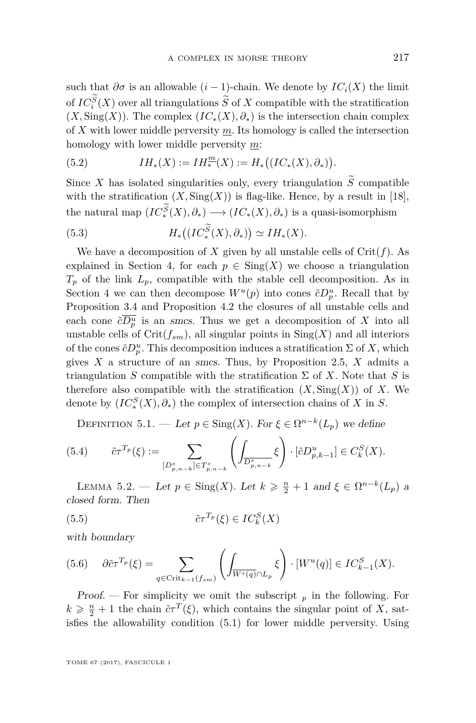such that  $\partial \sigma$  is an allowable  $(i-1)$ -chain. We denote by  $IC_i(X)$  the limit of  $IC_s^S(X)$  over all triangulations *S* of *X* compatible with the stratification  $(X, \text{Sing}(X))$ . The complex  $(IC_*(X), \partial_*)$  is the intersection chain complex of *X* with lower middle perversity *m*. Its homology is called the intersection homology with lower middle perversity *m*:

(5.2) 
$$
IH_*(X) := IH_*^m(X) := H_*\big((IC_*(X), \partial_*)\big).
$$

Since *X* has isolated singularities only, every triangulation  $\widetilde{S}$  compatible with the stratification  $(X, \text{Sing}(X))$  is flag-like. Hence, by a result in [\[18\]](#page-38-17), the natural map  $(IC_*^S(X), \partial_*) \longrightarrow (IC_*(X), \partial_*)$  is a quasi-isomorphism

(5.3) 
$$
H_*\big((IC_*^S(X),\partial_*)\big) \simeq IH_*(X).
$$

We have a decomposition of *X* given by all unstable cells of  $Crit(f)$ . As explained in Section [4,](#page-16-0) for each  $p \in Sing(X)$  we choose a triangulation  $T_p$  of the link  $L_p$ , compatible with the stable cell decomposition. As in Section [4](#page-16-0) we can then decompose  $W^u(p)$  into cones  $\tilde{c}D_p^u$ . Recall that by Proposition [3.4](#page-15-1) and Proposition [4.2](#page-18-3) the closures of all unstable cells and each cone  $\tilde{c}D_p^u$  is an smcs. Thus we get a decomposition of X into all unstable cells of  $\mathrm{Crit}(f_{sm})$ , all singular points in  $\mathrm{Sing}(X)$  and all interiors of the cones  $\tilde{c}D_p^u$ . This decomposition induces a stratification  $\Sigma$  of X, which gives *X* a structure of an smcs. Thus, by Proposition [2.5,](#page-11-1) *X* admits a triangulation *S* compatible with the stratification  $\Sigma$  of *X*. Note that *S* is therefore also compatible with the stratification  $(X, \text{Sing}(X))$  of X. We denote by  $(IC_*^S(X), \partial_*)$  the complex of intersection chains of *X* in *S*.

DEFINITION 5.1. — Let  $p \in Sing(X)$ . For  $\xi \in \Omega^{n-k}(L_p)$  we define

(5.4) 
$$
\tilde{c}\tau^{T_p}(\xi) := \sum_{[D^s_{p,n-k}] \in T^s_{p,n-k}} \left( \int_{\overline{D^s_{p,n-k}}} \xi \right) \cdot [\tilde{c}D^u_{p,k-1}] \in C^S_k(X).
$$

<span id="page-21-1"></span>LEMMA 5.2. — Let  $p \in \text{Sing}(X)$ . Let  $k \geqslant \frac{n}{2} + 1$  and  $\xi \in \Omega^{n-k}(L_p)$  a closed form. Then

(5.5) 
$$
\tilde{c}\tau^{T_p}(\xi) \in IC_k^S(X)
$$

with boundary

<span id="page-21-0"></span>
$$
(5.6) \quad \partial \tilde{c} \tau^{T_p}(\xi) = \sum_{q \in \text{Crit}_{k-1}(f_{sm})} \left( \int_{\overline{W^s(q)} \cap L_p} \xi \right) \cdot [W^u(q)] \in IC_{k-1}^S(X).
$$

Proof. — For simplicity we omit the subscript  $_p$  in the following. For  $k \geqslant \frac{n}{2} + 1$  the chain  $\tilde{c}\tau^{T}(\xi)$ , which contains the singular point of *X*, satisfies the allowability condition [\(5.1\)](#page-20-2) for lower middle perversity. Using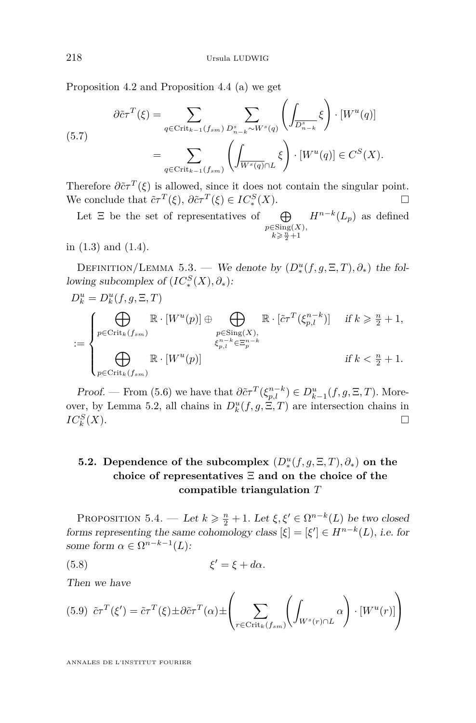Proposition [4.2](#page-18-3) and Proposition [4.4](#page-19-0) (a) we get

$$
\partial \tilde{c} \tau^{T}(\xi) = \sum_{q \in \text{Crit}_{k-1}(f_{sm})} \sum_{D_{n-k}^{s} \sim W^{s}(q)} \left( \int_{\overline{D_{n-k}^{s}}} \xi \right) \cdot [W^{u}(q)]
$$

$$
= \sum_{q \in \text{Crit}_{k-1}(f_{sm})} \left( \int_{\overline{W^{s}(q)} \cap L} \xi \right) \cdot [W^{u}(q)] \in C^{S}(X).
$$

Therefore  $\partial \tilde{\epsilon} \tau^T(\xi)$  is allowed, since it does not contain the singular point. We conclude that  $\tilde{c}\tau^T(\xi)$ ,  $\partial \tilde{c}\tau^T(\xi) \in IC_*^S(X)$ .

Let  $\Xi$  be the set of representatives of  $\oplus$  $p \in$ Sing $(X)$ ,<br>  $k \geqslant \frac{n}{2}+1$  $H^{n-k}(L_p)$  as defined

in [\(1.3\)](#page-3-0) and [\(1.4\)](#page-3-1).

DEFINITION/LEMMA 5.3. — We denote by  $(D^u_*(f, g, \Xi, T), \partial_*)$  the following subcomplex of  $(IC_*^S(X), \partial_*)$ :

$$
D_k^u = D_k^u(f, g, \Xi, T)
$$
  
\n
$$
:= \begin{cases} \bigoplus_{p \in \text{Crit}_k(f_{sm})} \mathbb{R} \cdot [W^u(p)] \oplus \bigoplus_{\substack{p \in \text{Sing}(X), \\ \xi_{p,l}^{n-k} \in \Xi_p^{n-k}}} \mathbb{R} \cdot [\tilde{c}\tau^T(\xi_{p,l}^{n-k})] & \text{if } k \geq \frac{n}{2} + 1, \\ \bigoplus_{p \in \text{Crit}_k(f_{sm})} \mathbb{R} \cdot [W^u(p)] & \text{if } k < \frac{n}{2} + 1. \end{cases}
$$

Proof. — From [\(5.6\)](#page-21-0) we have that  $\partial \tilde{c} \tau^T (\xi_{p,l}^{n-k}) \in D_{k-1}^u(f, g, \Xi, T)$ . More-over, by Lemma [5.2,](#page-21-1) all chains in  $D_k^u(f, g, \Xi, T)$  are intersection chains in  $IC^S_k$ (*X*).

# **5.2.** Dependence of the subcomplex  $(D_*^u(f, g, \Xi, T), \partial_*)$  on the **choice of representatives** Ξ **and on the choice of the compatible triangulation** *T*

PROPOSITION 5.4. — Let  $k \geq \frac{n}{2} + 1$ . Let  $\xi, \xi' \in \Omega^{n-k}(L)$  be two closed forms representing the same cohomology class  $[\xi] = [\xi'] \in H^{n-k}(L)$ , i.e. for some form  $\alpha \in \Omega^{n-k-1}(L)$ :

$$
\xi' = \xi + d\alpha.
$$

Then we have

<span id="page-22-0"></span>
$$
(5.9) \tilde{c}\tau^T(\xi') = \tilde{c}\tau^T(\xi) \pm \partial \tilde{c}\tau^T(\alpha) \pm \left(\sum_{r \in \text{Crit}_k(f_{sm})} \left(\int_{W^s(r) \cap L} \alpha\right) \cdot [W^u(r)]\right)
$$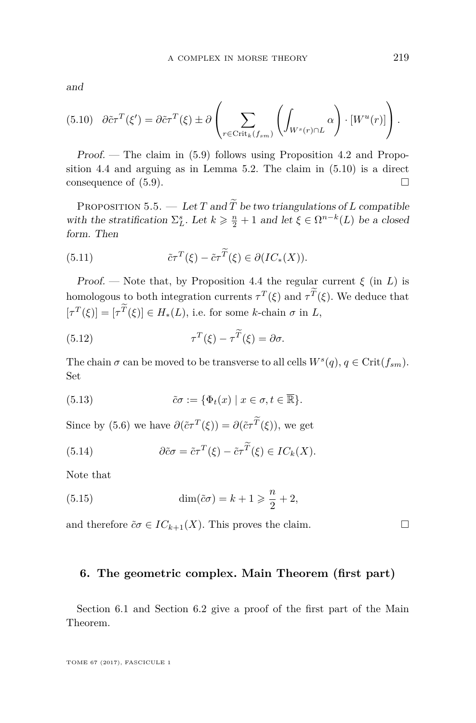and

<span id="page-23-1"></span>
$$
(5.10) \quad \partial \tilde{c} \tau^T(\xi') = \partial \tilde{c} \tau^T(\xi) \pm \partial \left( \sum_{r \in \text{Crit}_k(f_{sm})} \left( \int_{W^s(r) \cap L} \alpha \right) \cdot [W^u(r)] \right).
$$

Proof. — The claim in [\(5.9\)](#page-22-0) follows using Proposition [4.2](#page-18-3) and Proposition [4.4](#page-19-0) and arguing as in Lemma [5.2.](#page-21-1) The claim in [\(5.10\)](#page-23-1) is a direct consequence of  $(5.9)$ .

<span id="page-23-2"></span>PROPOSITION 5.5. — Let *T* and  $\widetilde{T}$  be two triangulations of *L* compatible with the stratification  $\Sigma_L^s$ . Let  $k \geq \frac{n}{2} + 1$  and let  $\xi \in \Omega^{n-k}(L)$  be a closed form. Then

(5.11) 
$$
\tilde{c}\tau^T(\xi) - \tilde{c}\tau^{\widetilde{T}}(\xi) \in \partial (IC_*(X)).
$$

Proof. — Note that, by Proposition [4.4](#page-19-0) the regular current  $\xi$  (in *L*) is homologous to both integration currents  $\tau^T(\xi)$  and  $\tau^T(\xi)$ . We deduce that  $[\tau^T(\xi)] = [\tau^T(\xi)] \in H_*(L)$ , i.e. for some *k*-chain  $\sigma$  in *L*,

(5.12) 
$$
\tau^T(\xi) - \tau^{\widetilde{T}}(\xi) = \partial \sigma.
$$

The chain  $\sigma$  can be moved to be transverse to all cells  $W^s(q)$ ,  $q \in \text{Crit}(f_{sm})$ . Set

(5.13) 
$$
\tilde{c}\sigma := \{\Phi_t(x) \mid x \in \sigma, t \in \overline{\mathbb{R}}\}.
$$

Since by [\(5.6\)](#page-21-0) we have  $\partial(\tilde{c}\tau^T(\xi)) = \partial(\tilde{c}\tau^T(\xi))$ , we get

(5.14) 
$$
\partial \tilde{c} \sigma = \tilde{c} \tau^T(\xi) - \tilde{c} \tau^T(\xi) \in IC_k(X).
$$

Note that

(5.15) 
$$
\dim(\tilde{c}\sigma) = k + 1 \geqslant \frac{n}{2} + 2,
$$

and therefore  $\tilde{c}\sigma \in IC_{k+1}(X)$ . This proves the claim.

### <span id="page-23-0"></span>**6. The geometric complex. Main Theorem (first part)**

Section [6.1](#page-24-0) and Section [6.2](#page-25-1) give a proof of the first part of the Main Theorem.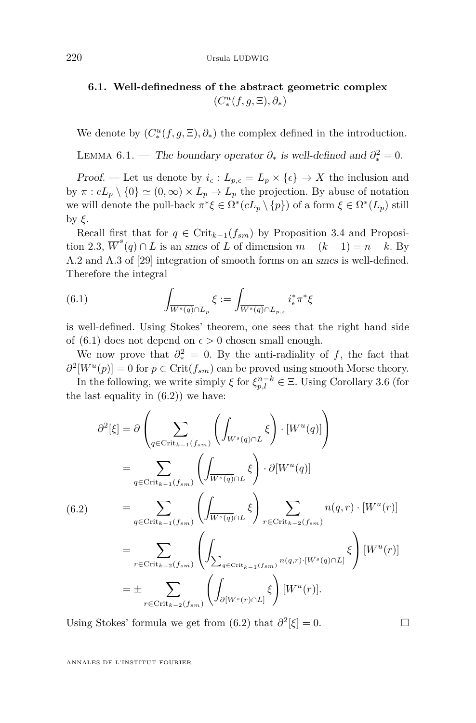# <span id="page-24-0"></span>**6.1. Well-definedness of the abstract geometric complex**  $(C^u_*(f, g, \Xi), \partial_*)$

We denote by  $(C^u_*(f, g, \Xi), \partial_*)$  the complex defined in the introduction.

LEMMA 6.1. — The boundary operator  $\partial_*$  is well-defined and  $\partial_*^2 = 0$ .

Proof. — Let us denote by  $i_{\epsilon}: L_{p,\epsilon} = L_p \times {\epsilon} \rightarrow X$  the inclusion and by  $\pi$  :  $cL_p \setminus \{0\} \simeq (0,\infty) \times L_p \to L_p$  the projection. By abuse of notation we will denote the pull-back  $\pi^* \xi \in \Omega^* (cL_p \setminus \{p\})$  of a form  $\xi \in \Omega^* (L_p)$  still by *ξ*.

Recall first that for  $q \in \text{Crit}_{k-1}(f_{sm})$  by Proposition [3.4](#page-15-1) and Proposi-tion [2.3,](#page-10-1)  $\overline{W}^s(q) \cap L$  is an smcs of *L* of dimension  $m - (k - 1) = n - k$ . By A.2 and A.3 of [\[29\]](#page-39-11) integration of smooth forms on an smcs is well-defined. Therefore the integral

<span id="page-24-1"></span>(6.1) 
$$
\int_{\overline{W^s(q)} \cap L_p} \xi := \int_{\overline{W^s(q)} \cap L_{p,\epsilon}} i_{\epsilon}^* \pi^* \xi
$$

is well-defined. Using Stokes' theorem, one sees that the right hand side of [\(6.1\)](#page-24-1) does not depend on  $\epsilon > 0$  chosen small enough.

We now prove that  $\partial^2_* = 0$ . By the anti-radiality of *f*, the fact that  $\partial^2[W^u(p)] = 0$  for  $p \in \text{Crit}(f_{sm})$  can be proved using smooth Morse theory.

In the following, we write simply  $\xi$  for  $\xi_{p,l}^{n-k} \in \Xi$ . Using Corollary [3.6](#page-15-2) (for the last equality in  $(6.2)$  we have:

<span id="page-24-2"></span>
$$
\partial^2[\xi] = \partial \left( \sum_{q \in \text{Crit}_{k-1}(f_{sm})} \left( \int_{\overline{W}^s(q) \cap L} \xi \right) \cdot [W^u(q)] \right)
$$
  
\n
$$
= \sum_{q \in \text{Crit}_{k-1}(f_{sm})} \left( \int_{\overline{W}^s(q) \cap L} \xi \right) \cdot \partial [W^u(q)]
$$
  
\n(6.2)  
\n
$$
= \sum_{q \in \text{Crit}_{k-1}(f_{sm})} \left( \int_{\overline{W}^s(q) \cap L} \xi \right) \sum_{r \in \text{Crit}_{k-2}(f_{sm})} n(q,r) \cdot [W^u(r)]
$$
  
\n
$$
= \sum_{r \in \text{Crit}_{k-2}(f_{sm})} \left( \int_{\sum_{q \in \text{Crit}_{k-1}(f_{sm})} n(q,r) \cdot [W^s(q) \cap L]} \xi \right) [W^u(r)]
$$
  
\n
$$
= \pm \sum_{r \in \text{Crit}_{k-2}(f_{sm})} \left( \int_{\partial [W^s(r) \cap L]} \xi \right) [W^u(r)].
$$

Using Stokes' formula we get from  $(6.2)$  that  $\partial^2[\xi] = 0$ .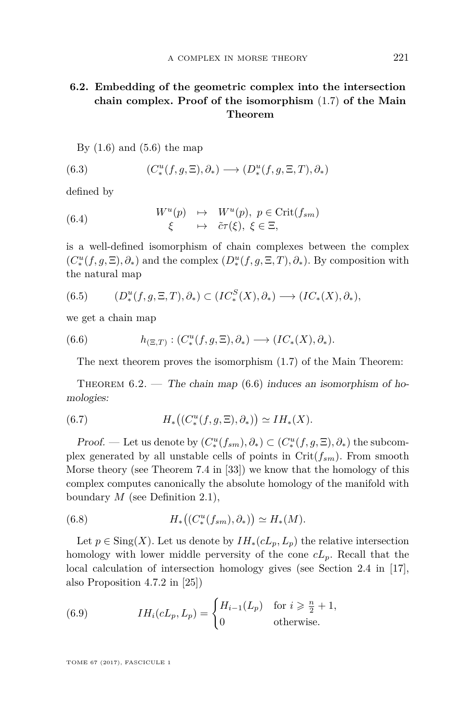# <span id="page-25-1"></span>**6.2. Embedding of the geometric complex into the intersection chain complex. Proof of the isomorphism** [\(1.7\)](#page-4-2) **of the Main Theorem**

By  $(1.6)$  and  $(5.6)$  the map

(6.3) 
$$
(C_*^u(f,g,\Xi),\partial_*) \longrightarrow (D_*^u(f,g,\Xi,T),\partial_*)
$$

defined by

(6.4) 
$$
W^{u}(p) \rightarrow W^{u}(p), p \in \text{Crit}(f_{sm})
$$

$$
\xi \rightarrow \tilde{c}\tau(\xi), \xi \in \Xi,
$$

is a well-defined isomorphism of chain complexes between the complex  $(C^u_*(f, g, \Xi), \partial_*)$  and the complex  $(D^u_*(f, g, \Xi, T), \partial_*)$ *.* By composition with the natural map

$$
(6.5) \qquad (D^u_*(f,g,\Xi,T),\partial_*) \subset (IC^S_*(X),\partial_*) \longrightarrow (IC_*(X),\partial_*),
$$

we get a chain map

(6.6) 
$$
h_{(\Xi,T)} : (C^u_*(f,g,\Xi),\partial_*) \longrightarrow (IC_*(X),\partial_*).
$$

<span id="page-25-2"></span>The next theorem proves the isomorphism [\(1.7\)](#page-4-2) of the Main Theorem:

<span id="page-25-0"></span>THEOREM  $6.2.$  — The chain map  $(6.6)$  induces an isomorphism of homologies:

<span id="page-25-5"></span>(6.7) 
$$
H_*\big((C_*^u(f,g,\Xi),\partial_*)\big) \simeq IH_*(X).
$$

Proof. — Let us denote by  $(C^u_*(f_{sm}), \partial_*) \subset (C^u_*(f, g, \Xi), \partial_*)$  the subcomplex generated by all unstable cells of points in  $Crit(f_{sm})$ . From smooth Morse theory (see Theorem 7.4 in [\[33\]](#page-39-22)) we know that the homology of this complex computes canonically the absolute homology of the manifold with boundary *M* (see Definition [2.1\)](#page-8-0),

<span id="page-25-4"></span>(6.8) 
$$
H_*\big((C_*^u(f_{sm}),\partial_*)\big) \simeq H_*(M).
$$

Let  $p \in Sing(X)$ . Let us denote by  $IH_*(cL_p, L_p)$  the relative intersection homology with lower middle perversity of the cone *cLp*. Recall that the local calculation of intersection homology gives (see Section 2.4 in [\[17\]](#page-38-6), also Proposition 4.7.2 in [\[25\]](#page-38-7))

<span id="page-25-3"></span>(6.9) 
$$
IH_i(cL_p, L_p) = \begin{cases} H_{i-1}(L_p) & \text{for } i \geq \frac{n}{2} + 1, \\ 0 & \text{otherwise.} \end{cases}
$$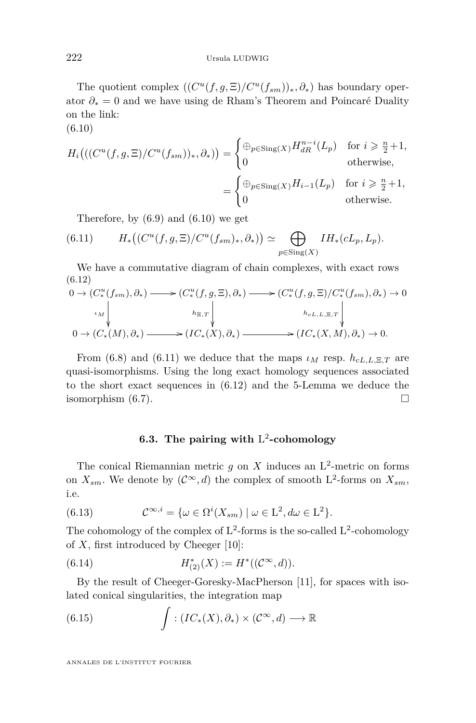The quotient complex  $((C^u(f, g, \Xi)/C^u(f_{sm}))_*, \partial_*)$  has boundary operator *∂*<sup>∗</sup> = 0 and we have using de Rham's Theorem and Poincaré Duality on the link:

(6.10)

<span id="page-26-0"></span>
$$
H_i\left(\left(\left(\frac{C^u(f,g,\Xi)}{C^u(f_{sm})}\right)_*,\partial_*\right)\right) = \begin{cases} \bigoplus_{p\in\text{Sing}(X)} H_{dR}^{n-i}(L_p) & \text{for } i \geq \frac{n}{2}+1, \\ 0 & \text{otherwise,} \end{cases}
$$

$$
= \begin{cases} \bigoplus_{p\in\text{Sing}(X)} H_{i-1}(L_p) & \text{for } i \geq \frac{n}{2}+1, \\ 0 & \text{otherwise.} \end{cases}
$$

<span id="page-26-1"></span>Therefore, by  $(6.9)$  and  $(6.10)$  we get

(6.11) 
$$
H_*\big((C^u(f,g,\Xi)/C^u(f_{sm})_*,\partial_*)\big) \simeq \bigoplus_{p \in \text{Sing}(X)} IH_*(cL_p,L_p).
$$

We have a commutative diagram of chain complexes, with exact rows (6.12)

<span id="page-26-2"></span>
$$
0 \to (C^u_*(f_{sm}), \partial_*) \longrightarrow (C^u_*(f, g, \Xi), \partial_*) \longrightarrow (C^u_*(f, g, \Xi)/C^u_*(f_{sm}), \partial_*) \to 0
$$
  
\n
$$
\downarrow \qquad \qquad \downarrow \qquad \qquad \downarrow \qquad \qquad \downarrow \qquad \qquad \downarrow \qquad \qquad \downarrow \qquad \qquad \downarrow \qquad \qquad \downarrow \qquad \qquad \downarrow \qquad \qquad \downarrow \qquad \qquad \downarrow \qquad \qquad \downarrow \qquad \qquad \downarrow \qquad \qquad \downarrow \qquad \qquad \downarrow \qquad \qquad \downarrow \qquad \qquad \downarrow
$$
  
\n
$$
0 \to (C^*_*(M), \partial_*) \longrightarrow (IC^*(X), \partial_*) \longrightarrow (IC^*(X, M), \partial_*) \to 0.
$$

From [\(6.8\)](#page-25-4) and [\(6.11\)](#page-26-1) we deduce that the maps  $\iota_M$  resp.  $h_{cL,L,\Xi,T}$  are quasi-isomorphisms. Using the long exact homology sequences associated to the short exact sequences in [\(6.12\)](#page-26-2) and the 5-Lemma we deduce the isomorphism  $(6.7)$ .

# **6.3. The pairing with** L 2 **-cohomology**

The conical Riemannian metric  $g$  on  $X$  induces an  $L^2$ -metric on forms on  $X_{sm}$ . We denote by  $(\mathcal{C}^{\infty}, d)$  the complex of smooth L<sup>2</sup>-forms on  $X_{sm}$ , i.e.

(6.13) 
$$
\mathcal{C}^{\infty,i} = \{ \omega \in \Omega^i(X_{sm}) \mid \omega \in \mathcal{L}^2, d\omega \in \mathcal{L}^2 \}.
$$

The cohomology of the complex of  $L^2$ -forms is the so-called  $L^2$ -cohomology of *X*, first introduced by Cheeger [\[10\]](#page-38-18):

(6.14) 
$$
H_{(2)}^{*}(X) := H^{*}((\mathcal{C}^{\infty}, d)).
$$

By the result of Cheeger-Goresky-MacPherson [\[11\]](#page-38-19), for spaces with isolated conical singularities, the integration map

<span id="page-26-3"></span>(6.15) 
$$
\int : (IC_*(X), \partial_*) \times (C^{\infty}, d) \longrightarrow \mathbb{R}
$$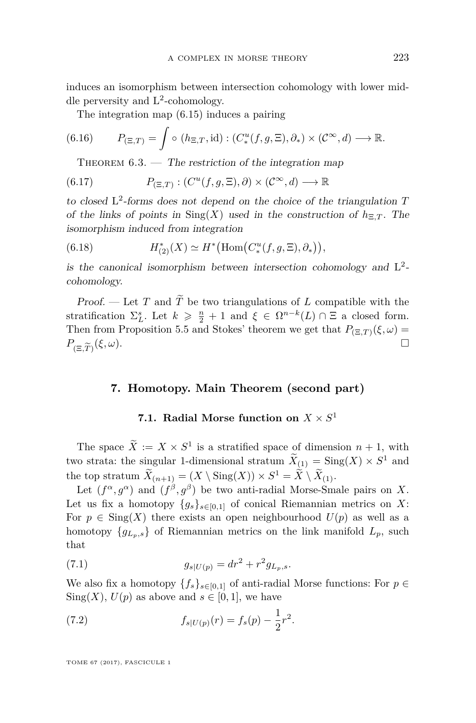induces an isomorphism between intersection cohomology with lower middle perversity and  $L^2$ -cohomology.

The integration map [\(6.15\)](#page-26-3) induces a pairing

(6.16) 
$$
P_{(\Xi,T)} = \int \circ (h_{\Xi,T}, \mathrm{id}) : (C^u_*(f,g,\Xi), \partial_*) \times (C^\infty, d) \longrightarrow \mathbb{R}.
$$

THEOREM  $6.3.$  — The restriction of the integration map

(6.17) 
$$
P_{(\Xi,T)} : (C^u(f,g,\Xi),\partial) \times (C^{\infty},d) \longrightarrow \mathbb{R}
$$

to closed L 2 -forms does not depend on the choice of the triangulation *T* of the links of points in  $\text{Sing}(X)$  used in the construction of  $h_{\Xi,T}$ . The isomorphism induced from integration

(6.18) 
$$
H_{(2)}^{*}(X) \simeq H^{*}\big(\text{Hom}\big(C_{*}^{u}(f,g,\Xi),\partial_{*}\big)\big),
$$

is the canonical isomorphism between intersection cohomology and  $L^2$ cohomology.

Proof. — Let *T* and  $\widetilde{T}$  be two triangulations of *L* compatible with the stratification  $\Sigma_L^s$ . Let  $k \geq \frac{n}{2} + 1$  and  $\xi \in \Omega^{n-k}(L) \cap \Xi$  a closed form. Then from Proposition [5.5](#page-23-2) and Stokes' theorem we get that  $P_{(\Xi,T)}(\xi,\omega) =$  $P_{(\Xi,\widetilde{T})}(\xi,\omega).$ (*ξ, ω*).

# <span id="page-27-0"></span>**7. Homotopy. Main Theorem (second part)**

# **7.1.** Radial Morse function on  $X \times S^1$

The space  $\tilde{X} := X \times S^1$  is a stratified space of dimension  $n + 1$ , with two strata: the singular 1-dimensional stratum  $\hat{X}_{(1)} = \text{Sing}(X) \times S^1$  and the top stratum  $\overline{X}_{(n+1)} = (X \setminus \text{Sing}(X)) \times S^1 = \overline{X} \setminus \overline{X}_{(1)}.$ 

Let  $(f^{\alpha}, g^{\alpha})$  and  $(f^{\beta}, g^{\beta})$  be two anti-radial Morse-Smale pairs on X. Let us fix a homotopy  ${g_s}_{s \in [0,1]}$  of conical Riemannian metrics on X: For  $p \in Sing(X)$  there exists an open neighbourhood  $U(p)$  as well as a homotopy  ${g_{L_n,s}}$  of Riemannian metrics on the link manifold  $L_p$ , such that

(7.1) 
$$
g_{s|U(p)} = dr^2 + r^2 g_{L_p,s}.
$$

We also fix a homotopy  ${f_s}_{s \in [0,1]}$  of anti-radial Morse functions: For  $p \in$  $\text{Sing}(X)$ ,  $U(p)$  as above and  $s \in [0,1]$ , we have

(7.2) 
$$
f_{s|U(p)}(r) = f_s(p) - \frac{1}{2}r^2.
$$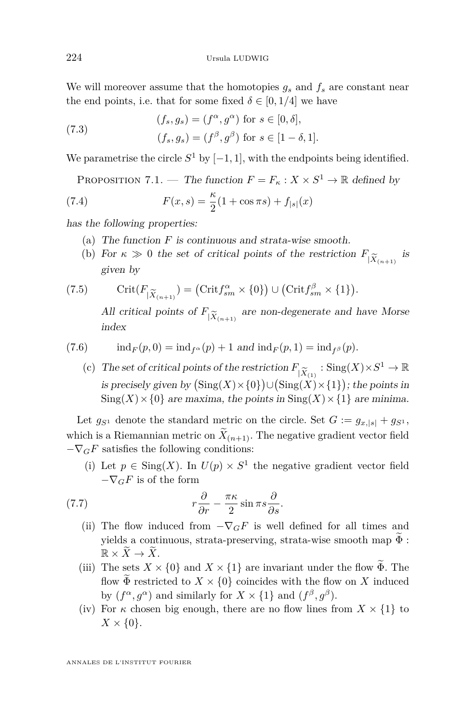We will moreover assume that the homotopies  $g_s$  and  $f_s$  are constant near the end points, i.e. that for some fixed  $\delta \in [0, 1/4]$  we have

(7.3) 
$$
(f_s, g_s) = (f^{\alpha}, g^{\alpha}) \text{ for } s \in [0, \delta],
$$

$$
(f_s, g_s) = (f^{\beta}, g^{\beta}) \text{ for } s \in [1 - \delta, 1].
$$

We parametrise the circle  $S^1$  by  $[-1, 1]$ , with the endpoints being identified.

PROPOSITION 7.1. — The function  $F = F_\kappa : X \times S^1 \to \mathbb{R}$  defined by

(7.4) 
$$
F(x,s) = \frac{\kappa}{2}(1 + \cos \pi s) + f_{|s|}(x)
$$

has the following properties:

- (a) The function *F* is continuous and strata-wise smooth.
- (b) For  $\kappa \gg 0$  the set of critical points of the restriction  $F_{|\widetilde{X}_{(n+1)}}$  is given by given by

(7.5) Crit(
$$
F_{|\widetilde{X}_{(n+1)}}
$$
) = (Crit $f_{sm}^{\alpha} \times \{0\}$ )  $\cup$  (Crit $f_{sm}^{\beta} \times \{1\}$ ).

All critical points of  $F_{|\widetilde{X}_{(n+1)}}$  are non-degenerate and have Morse<br>index index

(7.6) 
$$
ind_F(p, 0) = ind_{f^{\alpha}}(p) + 1
$$
 and  $ind_F(p, 1) = ind_{f^{\beta}}(p)$ .

(c) The set of critical points of the restriction  $F_{|\widetilde{X}_{(1)}} : \text{Sing}(X) \times S^1 \to \mathbb{R}$ <br>is precisely given by  $(\text{Sing}(X) \times \{0\}) \cup (\text{Sing}(X) \times \{1\})$ ; the points in is precisely given by  $(\text{Sing}(X) \times \{0\}) \cup (\text{Sing}(X) \times \{1\})$ ; the points in  $\text{Sing}(X) \times \{0\}$  are maxima, the points in  $\text{Sing}(X) \times \{1\}$  are minima.

Let  $g_{S^1}$  denote the standard metric on the circle. Set  $G := g_{x,|s|} + g_{S^1}$ , which is a Riemannian metric on  $X_{(n+1)}$ . The negative gradient vector field  $-\nabla_G F$  satisfies the following conditions:

<span id="page-28-0"></span>(i) Let  $p \in \text{Sing}(X)$ . In  $U(p) \times S^1$  the negative gradient vector field  $-\nabla_G F$  is of the form

(7.7) 
$$
r\frac{\partial}{\partial r} - \frac{\pi \kappa}{2}\sin \pi s \frac{\partial}{\partial s}.
$$

- (ii) The flow induced from  $-\nabla_G F$  is well defined for all times and yields a continuous, strata-preserving, strata-wise smooth map  $\widetilde{\Phi}$ :  $\mathbb{R} \times \overline{X} \to \overline{X}$ .
- (iii) The sets  $X \times \{0\}$  and  $X \times \{1\}$  are invariant under the flow  $\widetilde{\Phi}$ . The flow  $\widetilde{\Phi}$  restricted to  $X \times \{0\}$  coincides with the flow on X induced by  $(f^{\alpha}, g^{\alpha})$  and similarly for  $X \times \{1\}$  and  $(f^{\beta}, g^{\beta})$ .
- (iv) For  $\kappa$  chosen big enough, there are no flow lines from  $X \times \{1\}$  to  $X \times \{0\}.$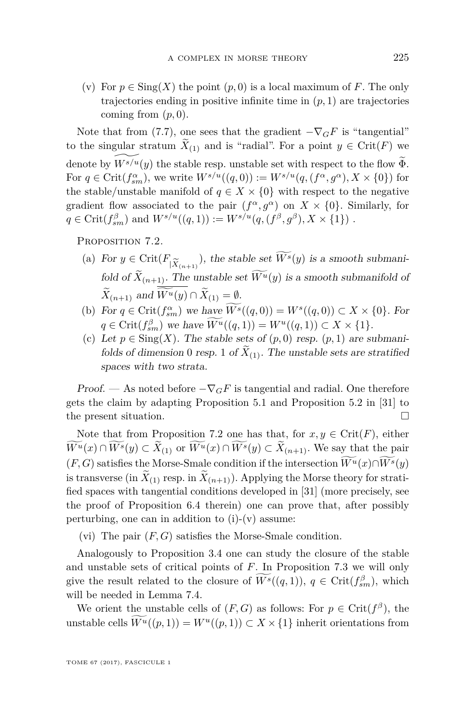(v) For  $p \in \text{Sing}(X)$  the point  $(p, 0)$  is a local maximum of F. The only trajectories ending in positive infinite time in  $(p, 1)$  are trajectories coming from  $(p, 0)$ .

Note that from [\(7.7\)](#page-28-0), one sees that the gradient  $-\nabla_G F$  is "tangential" to the singular stratum  $X_{(1)}$  and is "radial". For a point  $y \in \text{Crit}(F)$  we denote by  $\widetilde{W}^{s/u}(y)$  the stable resp. unstable set with respect to the flow  $\widetilde{\Phi}$ . For  $q \in \text{Crit}(f_{sm}^{\alpha})$ , we write  $W^{s/u}((q, 0)) := W^{s/u}(q, (f^{\alpha}, g^{\alpha}), X \times \{0\})$  for the stable/unstable manifold of  $q \in X \times \{0\}$  with respect to the negative gradient flow associated to the pair  $(f^{\alpha}, g^{\alpha})$  on  $X \times \{0\}$ . Similarly, for  $q \in \text{Crit}(f_{sm}^{\beta})$  and  $W^{s/u}((q, 1)) := W^{s/u}(q, (f^{\beta}, g^{\beta}), X \times \{1\})$ .

<span id="page-29-0"></span>PROPOSITION 7.2.

- (a) For  $y \in \text{Crit}(F_{|\widetilde{X}_{(n+1)}})$ , the stable set  $W^s(y)$  is a smooth submani-<br> $\mathcal{L} \widetilde{X}_{(n+1)}$  is a smooth submanifold of  $X_{(n+1)}$ . The unstable set  $W^u(y)$  is a smooth submanifold of *X*<sub>(*n*+1)</sub> and *W*<sup>*u*</sup>(*y*) ∩ *X*<sub>(1)</sub> = <u>Ø</u>.
- (b) For  $q \in \text{Crit}(f_{sm}^{\alpha})$  we have  $W^s((q, 0)) = W^s((q, 0)) \subset X \times \{0\}$ . For  $q \in \text{Crit}(f_{sm}^{\beta})$  we have  $W^u((q, 1)) = W^u((q, 1)) \subset X \times \{1\}.$
- (c) Let  $p \in Sing(X)$ . The stable sets of  $(p, 0)$  resp.  $(p, 1)$  are submanifolds of dimension 0 resp. 1 of  $X_{(1)}$ . The unstable sets are stratified spaces with two strata.

Proof. — As noted before  $-\nabla_G F$  is tangential and radial. One therefore gets the claim by adapting Proposition 5.1 and Proposition 5.2 in [\[31\]](#page-39-4) to the present situation.

Note that from Proposition [7.2](#page-29-0) one has that, for  $x, y \in \text{Crit}(F)$ , either  $W^u(x) \cap W^s(y) \subset X_{(1)}$  or  $W^u(x) \cap W^s(y) \subset X_{(n+1)}$ . We say that the pair  $(F, G)$  satisfies the Morse-Smale condition if the intersection  $\widetilde{W}^{u}(x) \cap \widetilde{W}^{s}(y)$ is transverse (in  $X_{(1)}$  resp. in  $X_{(n+1)}$ ). Applying the Morse theory for stratified spaces with tangential conditions developed in [\[31\]](#page-39-4) (more precisely, see the proof of Proposition 6.4 therein) one can prove that, after possibly perturbing, one can in addition to  $(i)-(v)$  assume:

(vi) The pair  $(F, G)$  satisfies the Morse-Smale condition.

Analogously to Proposition [3.4](#page-15-1) one can study the closure of the stable and unstable sets of critical points of *F*. In Proposition [7.3](#page-30-0) we will only give the result related to the closure of  $\overline{W}^s((q,1)), q \in \text{Crit}(f_{sm}^{\beta}),$  which will be needed in Lemma [7.4.](#page-31-0)

We orient the unstable cells of  $(F, G)$  as follows: For  $p \in \text{Crit}(f^{\beta})$ , the unstable cells  $\widetilde{W}^u((p,1)) = W^u((p,1)) \subset X \times \{1\}$  inherit orientations from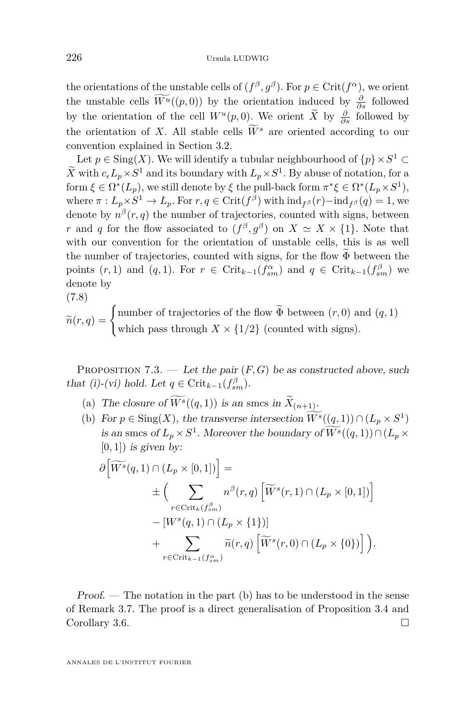the orientations of the unstable cells of  $(f^{\beta}, g^{\beta})$ . For  $p \in \text{Crit}(f^{\alpha})$ , we orient the unstable cells  $\overline{W}^{u}((p,0))$  by the orientation induced by  $\frac{\partial}{\partial s}$  followed by the orientation of the cell  $W^u(p,0)$ . We orient  $\overline{X}$  by  $\frac{\partial}{\partial s}$  followed by the orientation of *X*. All stable cells  $\widetilde{W}^s$  are oriented according to our convention explained in Section [3.2.](#page-13-1)

Let  $p \in \text{Sing}(X)$ . We will identify a tubular neighbourhood of  $\{p\} \times S^1$ *X* with  $c_{\epsilon}L_p \times S^1$  and its boundary with  $L_p \times S^1$ . By abuse of notation, for a form  $\xi \in \Omega^*(L_p)$ , we still denote by  $\xi$  the pull-back form  $\pi^*\xi \in \Omega^*(L_p \times S^1)$ , where  $\pi: L_p \times S^1 \to L_p$ . For  $r, q \in \mathrm{Crit}(f^\beta)$  with  $\mathrm{ind}_{f^\beta}(r) - \mathrm{ind}_{f^\beta}(q) = 1$ , we denote by  $n^{\beta}(r, q)$  the number of trajectories, counted with signs, between *r* and *q* for the flow associated to  $(f^{\beta}, g^{\beta})$  on  $X \simeq X \times \{1\}$ . Note that with our convention for the orientation of unstable cells, this is as well the number of trajectories, counted with signs, for the flow  $\Phi$  between the points  $(r, 1)$  and  $(q, 1)$ . For  $r \in \text{Crit}_{k-1}(f_{sm}^{\alpha})$  and  $q \in \text{Crit}_{k-1}(f_{sm}^{\beta})$  we denote by (7.8)

$$
\widetilde{n}(r,q) = \begin{cases}\n\text{number of trajectories of the flow } \widetilde{\Phi} \text{ between } (r,0) \text{ and } (q,1) \\
\text{which pass through } X \times \{1/2\} \text{ (counted with signs)}.\n\end{cases}
$$

<span id="page-30-0"></span>PROPOSITION 7.3. — Let the pair  $(F, G)$  be as constructed above, such that (i)-(vi) hold. Let  $q \in \text{Crit}_{k-1}(f_{sm}^{\beta})$ .

- (a) The closure of  $W^s((q, 1))$  is an smcs in  $X_{(n+1)}$ .
- (b) For  $p \in Sing(X)$ , the transverse intersection  $W^s((q, 1)) \cap (L_p \times S^1)$ is an smcs of  $L_p \times S^1$ . Moreover the boundary of  $W^s((q, 1)) \cap (L_p \times$  $[0, 1]$ ) is given by:

$$
\partial \left[ \widetilde{W^s}(q,1) \cap (L_p \times [0,1]) \right] =
$$
\n
$$
\pm \left( \sum_{r \in \text{Crit}_k(f_{sm}^{\beta})} n^{\beta}(r,q) \left[ \widetilde{W}^s(r,1) \cap (L_p \times [0,1]) \right] - \left[ W^s(q,1) \cap (L_p \times \{1\}) \right] + \sum_{r \in \text{Crit}_{k-1}(f_{sm}^{\alpha})} \widetilde{n}(r,q) \left[ \widetilde{W}^s(r,0) \cap (L_p \times \{0\}) \right] \right).
$$

<span id="page-30-1"></span>Proof. — The notation in the part (b) has to be understood in the sense of Remark [3.7.](#page-16-1) The proof is a direct generalisation of Proposition [3.4](#page-15-1) and Corollary [3.6.](#page-15-2)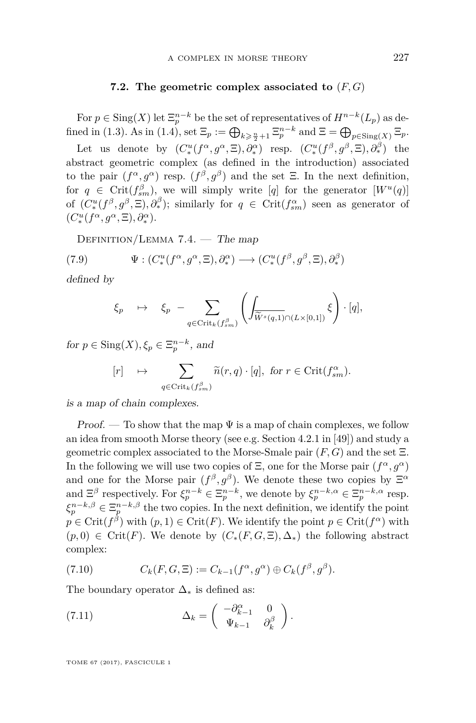#### **7.2. The geometric complex associated to** (*F, G*)

For  $p \in \text{Sing}(X)$  let  $\Xi_p^{n-k}$  be the set of representatives of  $H^{n-k}(L_p)$  as de-fined in [\(1.3\)](#page-3-0). As in [\(1.4\)](#page-3-1), set  $\Xi_p := \bigoplus_{k \geq \frac{n}{2}+1} \Xi_p^{n-k}$  and  $\Xi = \bigoplus_{p \in \text{Sing}(X)} \Xi_p$ .

Let us denote by  $(C^u_*(f^{\alpha}, g^{\alpha}, \Xi), \partial^{\alpha}_*)$  resp.  $(C^u_*(f^{\beta}, g^{\beta}, \Xi), \partial^{\beta}_*)$  the abstract geometric complex (as defined in the introduction) associated to the pair  $(f^{\alpha}, g^{\alpha})$  resp.  $(f^{\beta}, g^{\beta})$  and the set  $\Xi$ . In the next definition, for  $q \in \text{Crit}(f_{sm}^{\beta})$ , we will simply write [*q*] for the generator  $[W^u(q)]$ of  $(C^u_*(f^\beta, g^\beta, \Xi), \partial_*^\beta);$  similarly for  $q \in \text{Crit}(f_{sm}^\alpha)$  seen as generator of  $(C^u_*(f^{\alpha}, g^{\alpha}, \Xi), \partial^{\alpha}_*).$ 

<span id="page-31-0"></span>DEFINITION/LEMMA  $7.4.$  — The map

(7.9) 
$$
\Psi: (C^u_*(f^{\alpha}, g^{\alpha}, \Xi), \partial^{\alpha}_*) \longrightarrow (C^u_*(f^{\beta}, g^{\beta}, \Xi), \partial^{\beta}_*)
$$

defined by

$$
\xi_p \quad \mapsto \quad \xi_p \; - \sum_{q \in \text{Crit}_k(f_{sm}^{\beta})} \left( \int_{\widetilde{W}^s(q,1) \cap (L \times [0,1])} \xi \right) \cdot [q],
$$

for  $p \in \text{Sing}(X), \xi_p \in \Xi_p^{n-k}$ , and

$$
[r] \quad \mapsto \quad \sum_{q \in \text{Crit}_k(f_{sm}^{\beta})} \widetilde{n}(r,q) \cdot [q], \text{ for } r \in \text{Crit}(f_{sm}^{\alpha}).
$$

is a map of chain complexes.

Proof. — To show that the map  $\Psi$  is a map of chain complexes, we follow an idea from smooth Morse theory (see e.g. Section 4.2.1 in [\[49\]](#page-39-13)) and study a geometric complex associated to the Morse-Smale pair (*F, G*) and the set Ξ. In the following we will use two copies of  $\Xi$ , one for the Morse pair  $(f^{\alpha}, g^{\alpha})$ and one for the Morse pair  $(f^{\beta}, g^{\beta})$ . We denote these two copies by  $\Xi^{\alpha}$ and  $\Xi^{\beta}$  respectively. For  $\xi_p^{n-k} \in \Xi_p^{n-k}$ , we denote by  $\xi_p^{n-k,\alpha} \in \Xi_p^{n-k,\alpha}$  resp.  $\xi_p^{n-k,\beta} \in \Xi_p^{n-k,\beta}$  the two copies. In the next definition, we identify the point  $p \in \mathrm{Crit}(f^\beta)$  with  $(p, 1) \in \mathrm{Crit}(F)$ . We identify the point  $p \in \mathrm{Crit}(f^\alpha)$  with  $(p,0)$  ∈ Crit(*F*). We denote by  $(C_*(F, G, \Xi), \Delta_*)$  the following abstract complex:

(7.10) 
$$
C_k(F, G, \Xi) := C_{k-1}(f^{\alpha}, g^{\alpha}) \oplus C_k(f^{\beta}, g^{\beta}).
$$

The boundary operator  $\Delta_*$  is defined as:

(7.11) 
$$
\Delta_k = \begin{pmatrix} -\partial_{k-1}^{\alpha} & 0 \\ \Psi_{k-1} & \partial_k^{\beta} \end{pmatrix}.
$$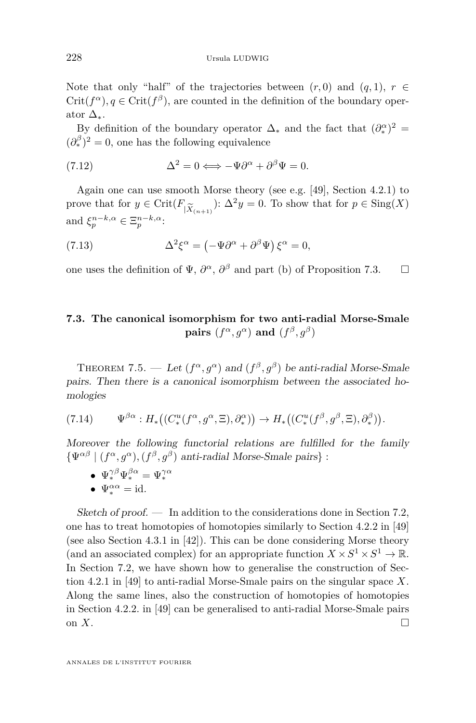Note that only "half" of the trajectories between  $(r, 0)$  and  $(q, 1)$ ,  $r \in$  $Crit(f^{\alpha})$ ,  $q \in Crit(f^{\beta})$ , are counted in the definition of the boundary operator  $\Delta_*$ .

By definition of the boundary operator  $\Delta_*$  and the fact that  $(\partial_*^{\alpha})^2 =$  $(\partial_{*}^{\beta})^2 = 0$ , one has the following equivalence

(7.12) 
$$
\Delta^2 = 0 \Longleftrightarrow -\Psi \partial^{\alpha} + \partial^{\beta} \Psi = 0.
$$

Again one can use smooth Morse theory (see e.g. [\[49\]](#page-39-13), Section 4.2.1) to prove that for  $y \in \text{Crit}(F_{|\widetilde{X}_{(n+1)}})$ :  $\Delta^2 y = 0$ . To show that for  $p \in \text{Sing}(X)$ <br>and  $\xi^{n-k,\alpha} \in \Xi^{n-k,\alpha}$ . and  $\xi_p^{n-k,\alpha} \in \Xi_p^{n-k,\alpha}$ :

(7.13) 
$$
\Delta^2 \xi^{\alpha} = \left(-\Psi \partial^{\alpha} + \partial^{\beta} \Psi\right) \xi^{\alpha} = 0,
$$

one uses the definition of  $\Psi$ ,  $\partial^{\alpha}$ ,  $\partial^{\beta}$  and part (b) of Proposition [7.3.](#page-30-0)  $\Box$ 

# **7.3. The canonical isomorphism for two anti-radial Morse-Smale**  $\mathbf{pairs}$   $(f^{\alpha}, g^{\alpha})$  and  $(f^{\beta}, g^{\beta})$

THEOREM 7.5. — Let  $(f^{\alpha}, g^{\alpha})$  and  $(f^{\beta}, g^{\beta})$  be anti-radial Morse-Smale pairs. Then there is a canonical isomorphism between the associated homologies

$$
(7.14) \t\Psi^{\beta\alpha}: H_*\big((C_*^u(f^\alpha,g^\alpha,\Xi),\partial_*^\alpha)\big) \to H_*\big((C_*^u(f^\beta,g^\beta,\Xi),\partial_*^\beta)\big).
$$

Moreover the following functorial relations are fulfilled for the family  $\{\Psi^{\alpha\beta} \mid (f^{\alpha}, g^{\alpha}), (f^{\beta}, g^{\beta}) \text{ anti-radial Morse-Smale pairs}\}.$ 

- $\;\;\mathbf{\Psi}_*^{\gamma\beta}\Psi_*^{\beta\alpha}=\Psi_*^{\gamma\alpha}$
- $\Psi_*^{\alpha\alpha} = \mathrm{id}.$

 $Sketch of proof.$  In addition to the considerations done in Section [7.2,](#page-30-1) one has to treat homotopies of homotopies similarly to Section 4.2.2 in [\[49\]](#page-39-13) (see also Section 4.3.1 in [\[42\]](#page-39-12)). This can be done considering Morse theory (and an associated complex) for an appropriate function  $X \times S^1 \times S^1 \to \mathbb{R}$ . In Section [7.2,](#page-30-1) we have shown how to generalise the construction of Section 4.2.1 in [\[49\]](#page-39-13) to anti-radial Morse-Smale pairs on the singular space *X*. Along the same lines, also the construction of homotopies of homotopies in Section 4.2.2. in [\[49\]](#page-39-13) can be generalised to anti-radial Morse-Smale pairs on  $X$ .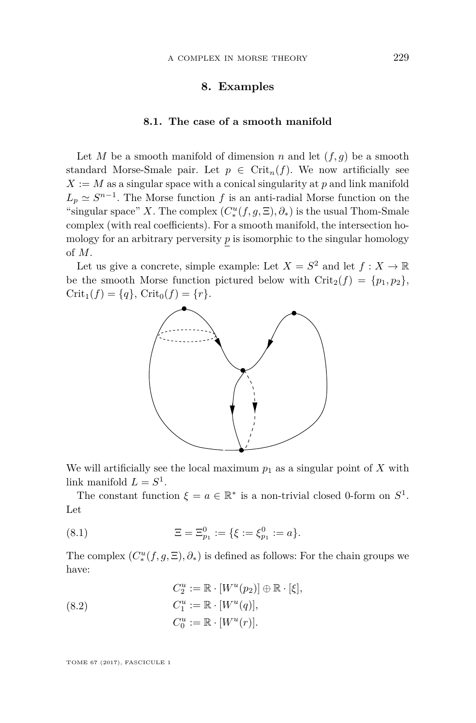# **8. Examples**

#### **8.1. The case of a smooth manifold**

<span id="page-33-0"></span>Let *M* be a smooth manifold of dimension *n* and let  $(f, g)$  be a smooth standard Morse-Smale pair. Let  $p \in \text{Crit}_n(f)$ . We now artificially see  $X := M$  as a singular space with a conical singularity at p and link manifold  $L_p \simeq S^{n-1}$ . The Morse function *f* is an anti-radial Morse function on the "singular space" *X*. The complex  $(C^u_*(f, g, \Xi), \partial_*)$  is the usual Thom-Smale complex (with real coefficients). For a smooth manifold, the intersection homology for an arbitrary perversity  $p$  is isomorphic to the singular homology of *M*.

Let us give a concrete, simple example: Let  $X = S^2$  and let  $f: X \to \mathbb{R}$ be the smooth Morse function pictured below with  $\operatorname{Crit}_2(f) = \{p_1, p_2\},\$  $Crit_1(f) = \{q\}, Crit_0(f) = \{r\}.$ 



We will artificially see the local maximum  $p_1$  as a singular point of X with link manifold  $L = S^1$ .

The constant function  $\xi = a \in \mathbb{R}^*$  is a non-trivial closed 0-form on  $S^1$ . Let

(8.1) 
$$
\Xi = \Xi_{p_1}^0 := \{ \xi := \xi_{p_1}^0 := a \}.
$$

The complex  $(C^u_*(f, g, \Xi), \partial_*)$  is defined as follows: For the chain groups we have:

(8.2) 
$$
C_2^u := \mathbb{R} \cdot [W^u(p_2)] \oplus \mathbb{R} \cdot [\xi],
$$

$$
C_1^u := \mathbb{R} \cdot [W^u(q)],
$$

$$
C_0^u := \mathbb{R} \cdot [W^u(r)].
$$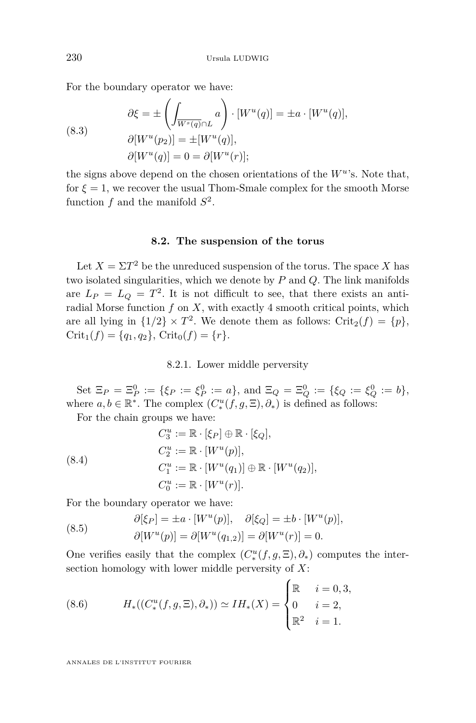For the boundary operator we have:

(8.3)  
\n
$$
\partial \xi = \pm \left( \int_{\overline{W^s(q)} \cap L} a \right) \cdot [W^u(q)] = \pm a \cdot [W^u(q)],
$$
\n
$$
\partial [W^u(p_2)] = \pm [W^u(q)],
$$
\n
$$
\partial [W^u(q)] = 0 = \partial [W^u(r)];
$$

the signs above depend on the chosen orientations of the  $W^u$ 's. Note that, for  $\xi = 1$ , we recover the usual Thom-Smale complex for the smooth Morse function  $f$  and the manifold  $S^2$ .

#### **8.2. The suspension of the torus**

Let  $X = \Sigma T^2$  be the unreduced suspension of the torus. The space X has two isolated singularities, which we denote by *P* and *Q*. The link manifolds are  $L_P = L_Q = T^2$ . It is not difficult to see, that there exists an antiradial Morse function *f* on *X*, with exactly 4 smooth critical points, which are all lying in  $\{1/2\} \times T^2$ . We denote them as follows: Crit<sub>2</sub>(*f*) =  $\{p\}$ ,  $Crit_1(f) = \{q_1, q_2\},$   $Crit_0(f) = \{r\}.$ 

8.2.1. Lower middle perversity

 $\text{Set } \Xi_P = \Xi_P^0 := \{\xi_P := \xi_P^0 := a\},\text{ and } \Xi_Q = \Xi_Q^0 := \{\xi_Q := \xi_Q^0 := b\},\$ where  $a, b \in \mathbb{R}^*$ . The complex  $(C_*^u(f, g, \Xi), \partial_*)$  is defined as follows:

For the chain groups we have:

(8.4)  
\n
$$
C_3^u := \mathbb{R} \cdot [\xi_P] \oplus \mathbb{R} \cdot [\xi_Q],
$$
\n
$$
C_2^u := \mathbb{R} \cdot [W^u(p)],
$$
\n
$$
C_1^u := \mathbb{R} \cdot [W^u(q_1)] \oplus \mathbb{R} \cdot [W^u(q_2)],
$$
\n
$$
C_0^u := \mathbb{R} \cdot [W^u(r)].
$$

For the boundary operator we have:

(8.5) 
$$
\partial[\xi_P] = \pm a \cdot [W^u(p)], \quad \partial[\xi_Q] = \pm b \cdot [W^u(p)],
$$

$$
\partial[W^u(p)] = \partial[W^u(q_{1,2})] = \partial[W^u(r)] = 0.
$$

One verifies easily that the complex  $(C^u_*(f, g, \Xi), \partial_*)$  computes the intersection homology with lower middle perversity of *X*:

(8.6) 
$$
H_*((C_*^u(f,g,\Xi),\partial_*)) \simeq IH_*(X) = \begin{cases} \mathbb{R} & i = 0,3, \\ 0 & i = 2, \\ \mathbb{R}^2 & i = 1. \end{cases}
$$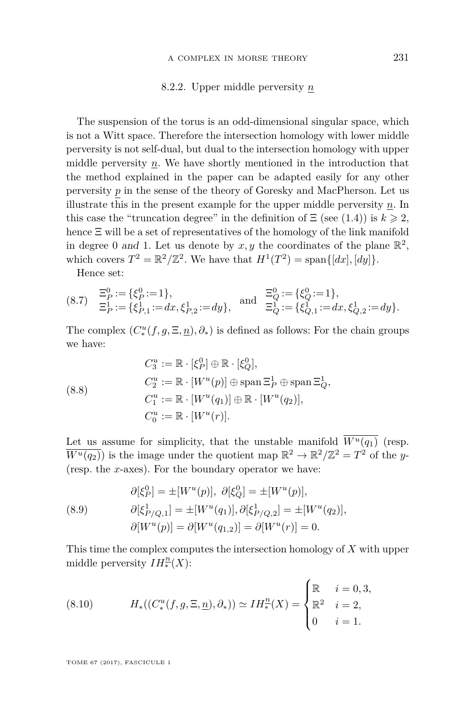#### 8.2.2. Upper middle perversity *n*

<span id="page-35-0"></span>The suspension of the torus is an odd-dimensional singular space, which is not a Witt space. Therefore the intersection homology with lower middle perversity is not self-dual, but dual to the intersection homology with upper middle perversity *n*. We have shortly mentioned in the introduction that the method explained in the paper can be adapted easily for any other perversity *p* in the sense of the theory of Goresky and MacPherson. Let us illustrate this in the present example for the upper middle perversity *n*. In this case the "truncation degree" in the definition of  $\Xi$  (see [\(1.4\)](#page-3-1)) is  $k \geq 2$ , hence Ξ will be a set of representatives of the homology of the link manifold in degree 0 and 1. Let us denote by  $x, y$  the coordinates of the plane  $\mathbb{R}^2$ , which covers  $T^2 = \mathbb{R}^2/\mathbb{Z}^2$ . We have that  $H^1(T^2) = \text{span}\{[dx], [dy]\}.$ 

Hence set:

$$
\begin{array}{lll}\n(8.7) & \Xi_P^0 := \{ \xi_P^0 := 1 \}, \\
\Xi_P^1 := \{ \xi_{P,1}^1 := dx, \xi_{P,2}^1 := dy \}, & \text{and} & \Xi_Q^0 := \{ \xi_Q^0 := 1 \}, \\
\Xi_Q^1 := \{ \xi_{Q,1}^1 := dx, \xi_{Q,2}^1 := dy \}. \end{array}
$$

The complex  $(C^u_*(f, g, \Xi, \underline{n}), \partial_*)$  is defined as follows: For the chain groups we have:

(8.8)  
\n
$$
C_3^u := \mathbb{R} \cdot [\xi_P^0] \oplus \mathbb{R} \cdot [\xi_Q^0],
$$
\n
$$
C_2^u := \mathbb{R} \cdot [W^u(p)] \oplus \text{span}\,\Xi_P^1 \oplus \text{span}\,\Xi_Q^1,
$$
\n
$$
C_1^u := \mathbb{R} \cdot [W^u(q_1)] \oplus \mathbb{R} \cdot [W^u(q_2)],
$$
\n
$$
C_0^u := \mathbb{R} \cdot [W^u(r)].
$$

Let us assume for simplicity, that the unstable manifold  $\overline{W^u(q_1)}$  (resp.  $\overline{W^u(q_2)}$  is the image under the quotient map  $\mathbb{R}^2 \to \mathbb{R}^2/\mathbb{Z}^2 = T^2$  of the *y*-(resp. the *x*-axes). For the boundary operator we have:

(8.9) 
$$
\partial[\xi_P^0] = \pm[W^u(p)], \ \partial[\xi_Q^0] = \pm[W^u(p)],
$$

$$
\partial[\xi_{P/Q,1}^1] = \pm[W^u(q_1)], \partial[\xi_{P/Q,2}^1] = \pm[W^u(q_2)],
$$

$$
\partial[W^u(p)] = \partial[W^u(q_{1,2})] = \partial[W^u(r)] = 0.
$$

This time the complex computes the intersection homology of *X* with upper middle perversity  $IH_*^{\underline{n}}(X)$ :

(8.10) 
$$
H_*((C_*^u(f,g,\Xi,\underline{n}),\partial_*)) \simeq IH_*^{\underline{n}}(X) = \begin{cases} \mathbb{R} & i = 0,3, \\ \mathbb{R}^2 & i = 2, \\ 0 & i = 1. \end{cases}
$$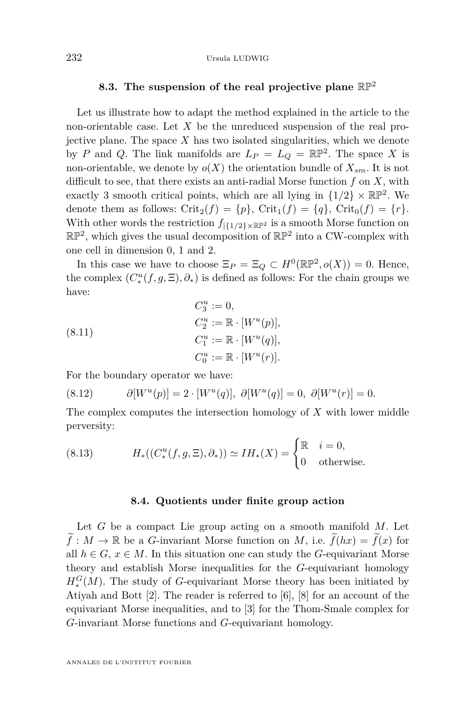## **8.3. The suspension of the real projective plane** RP<sup>2</sup>

<span id="page-36-0"></span>Let us illustrate how to adapt the method explained in the article to the non-orientable case. Let *X* be the unreduced suspension of the real projective plane. The space *X* has two isolated singularities, which we denote by *P* and *Q*. The link manifolds are  $L_P = L_Q = \mathbb{RP}^2$ . The space *X* is non-orientable, we denote by  $o(X)$  the orientation bundle of  $X_{sm}$ . It is not difficult to see, that there exists an anti-radial Morse function *f* on *X*, with exactly 3 smooth critical points, which are all lying in  $\{1/2\} \times \mathbb{RP}^2$ . We denote them as follows:  $\text{Crit}_2(f) = \{p\}$ ,  $\text{Crit}_1(f) = \{q\}$ ,  $\text{Crit}_0(f) = \{r\}$ . With other words the restriction  $f_{\vert {\{1/2\}\times\mathbb{RP}^2}}$  is a smooth Morse function on  $\mathbb{RP}^2$ , which gives the usual decomposition of  $\mathbb{RP}^2$  into a CW-complex with one cell in dimension 0, 1 and 2.

In this case we have to choose  $\Xi_P = \Xi_Q \subset H^0(\mathbb{RP}^2, o(X)) = 0$ . Hence, the complex  $(C^u_*(f, g, \Xi), \partial_*)$  is defined as follows: For the chain groups we have:

(8.11) 
$$
C_3^u := 0,
$$

$$
C_2^u := \mathbb{R} \cdot [W^u(p)],
$$

$$
C_1^u := \mathbb{R} \cdot [W^u(q)],
$$

$$
C_0^u := \mathbb{R} \cdot [W^u(r)].
$$

For the boundary operator we have:

(8.12) 
$$
\partial[W^u(p)] = 2 \cdot [W^u(q)], \ \partial[W^u(q)] = 0, \ \partial[W^u(r)] = 0.
$$

The complex computes the intersection homology of *X* with lower middle perversity:

(8.13) 
$$
H_*((C_*^u(f,g,\Xi),\partial_*)) \simeq IH_*(X) = \begin{cases} \mathbb{R} & i=0, \\ 0 & \text{otherwise.} \end{cases}
$$

#### **8.4. Quotients under finite group action**

Let *G* be a compact Lie group acting on a smooth manifold *M*. Let  $\widetilde{f}: M \to \mathbb{R}$  be a *G*-invariant Morse function on *M*, i.e.  $\widetilde{f}(hx) = \widetilde{f}(x)$  for all  $h \in G$ ,  $x \in M$ . In this situation one can study the *G*-equivariant Morse theory and establish Morse inequalities for the *G*-equivariant homology  $H_*^G(M)$ . The study of *G*-equivariant Morse theory has been initiated by Atiyah and Bott [\[2\]](#page-37-2). The reader is referred to [\[6\]](#page-38-20), [\[8\]](#page-38-21) for an account of the equivariant Morse inequalities, and to [\[3\]](#page-37-0) for the Thom-Smale complex for *G*-invariant Morse functions and *G*-equivariant homology.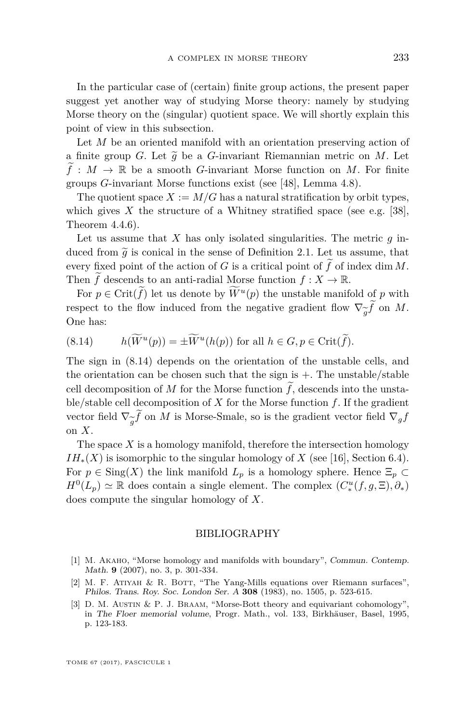In the particular case of (certain) finite group actions, the present paper suggest yet another way of studying Morse theory: namely by studying Morse theory on the (singular) quotient space. We will shortly explain this point of view in this subsection.

Let *M* be an oriented manifold with an orientation preserving action of a finite group *G*. Let  $\tilde{g}$  be a *G*-invariant Riemannian metric on *M*. Let  $f: M \to \mathbb{R}$  be a smooth *G*-invariant Morse function on *M*. For finite groups *G*-invariant Morse functions exist (see [\[48\]](#page-39-23), Lemma 4.8).

The quotient space  $X := M/G$  has a natural stratification by orbit types, which gives  $X$  the structure of a Whitney stratified space (see e.g. [\[38\]](#page-39-16), Theorem 4.4.6).

Let us assume that  $X$  has only isolated singularities. The metric  $q$  induced from  $\tilde{q}$  is conical in the sense of Definition [2.1.](#page-8-0) Let us assume, that every fixed point of the action of *G* is a critical point of  $\tilde{f}$  of index dim *M*. Then *f* descends to an anti-radial Morse function  $f: X \to \mathbb{R}$ .

For  $p \in \text{Crit}(f)$  let us denote by  $W^u(p)$  the unstable manifold of *p* with respect to the flow induced from the negative gradient flow  $\nabla_{\widetilde{g}} f$  on *M*.<br>One has: One has:

<span id="page-37-3"></span>(8.14) 
$$
h(\widetilde{W}^u(p)) = \pm \widetilde{W}^u(h(p)) \text{ for all } h \in G, p \in \text{Crit}(\widetilde{f}).
$$

The sign in [\(8.14\)](#page-37-3) depends on the orientation of the unstable cells, and the orientation can be chosen such that the sign is  $+$ . The unstable/stable cell decomposition of *M* for the Morse function  $\tilde{f}$ , descends into the unstable/stable cell decomposition of *X* for the Morse function *f*. If the gradient vector field  $\nabla_{\widetilde{g}} f$  on *M* is Morse-Smale, so is the gradient vector field  $\nabla_g f$  on *X*. on *X*.

The space  $X$  is a homology manifold, therefore the intersection homology  $IH_{*}(X)$  is isomorphic to the singular homology of *X* (see [\[16\]](#page-38-5), Section 6.4). For  $p \in Sing(X)$  the link manifold  $L_p$  is a homology sphere. Hence  $\Xi_p \subset$  $H^0(L_p) \simeq \mathbb{R}$  does contain a single element. The complex  $(C^u_*(f, g, \Xi), \partial_*)$ does compute the singular homology of *X*.

### BIBLIOGRAPHY

- <span id="page-37-1"></span>[1] M. Akaho, "Morse homology and manifolds with boundary", Commun. Contemp. Math. **9** (2007), no. 3, p. 301-334.
- <span id="page-37-2"></span>[2] M. F. Atiyah & R. Bott, "The Yang-Mills equations over Riemann surfaces", Philos. Trans. Roy. Soc. London Ser. A **308** (1983), no. 1505, p. 523-615.
- <span id="page-37-0"></span>[3] D. M. AUSTIN & P. J. BRAAM, "Morse-Bott theory and equivariant cohomology", in The Floer memorial volume, Progr. Math., vol. 133, Birkhäuser, Basel, 1995, p. 123-183.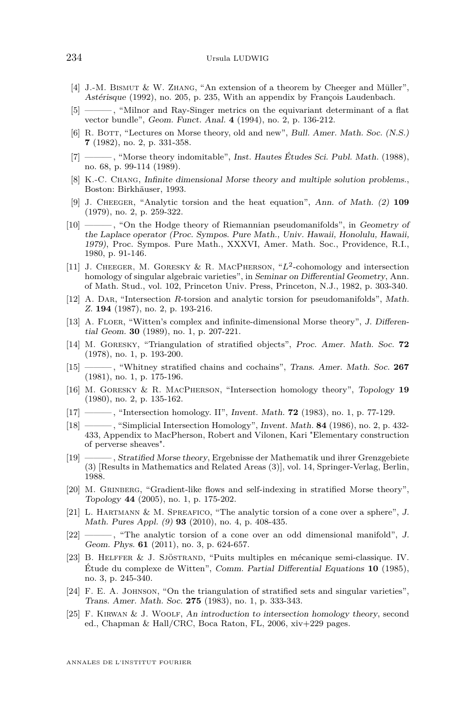- <span id="page-38-4"></span>[4] J.-M. Bismut & W. Zhang, "An extension of a theorem by Cheeger and Müller", Astérisque (1992), no. 205, p. 235, With an appendix by François Laudenbach.
- <span id="page-38-2"></span>[5] ——— , "Milnor and Ray-Singer metrics on the equivariant determinant of a flat vector bundle", Geom. Funct. Anal. **4** (1994), no. 2, p. 136-212.
- <span id="page-38-20"></span>[6] R. BOTT, "Lectures on Morse theory, old and new", Bull. Amer. Math. Soc. (N.S.) **7** (1982), no. 2, p. 331-358.
- <span id="page-38-0"></span>[7] ——— , "Morse theory indomitable", Inst. Hautes Études Sci. Publ. Math. (1988), no. 68, p. 99-114 (1989).
- <span id="page-38-21"></span>[8] K.-C. Chang, Infinite dimensional Morse theory and multiple solution problems., Boston: Birkhäuser, 1993.
- <span id="page-38-11"></span>[9] J. Cheeger, "Analytic torsion and the heat equation", Ann. of Math. (2) **109** (1979), no. 2, p. 259-322.
- <span id="page-38-18"></span>[10] - 6. "On the Hodge theory of Riemannian pseudomanifolds", in Geometry of the Laplace operator (Proc. Sympos. Pure Math., Univ. Hawaii, Honolulu, Hawaii, 1979), Proc. Sympos. Pure Math., XXXVI, Amer. Math. Soc., Providence, R.I., 1980, p. 91-146.
- <span id="page-38-19"></span>[11] J. CHEEGER, M. GORESKY & R. MACPHERSON, "L<sup>2</sup>-cohomology and intersection homology of singular algebraic varieties", in Seminar on Differential Geometry, Ann. of Math. Stud., vol. 102, Princeton Univ. Press, Princeton, N.J., 1982, p. 303-340.
- <span id="page-38-8"></span>[12] A. Dar, "Intersection *R*-torsion and analytic torsion for pseudomanifolds", Math. Z. **194** (1987), no. 2, p. 193-216.
- <span id="page-38-1"></span>[13] A. FLOER, "Witten's complex and infinite-dimensional Morse theory", J. Differential Geom. **30** (1989), no. 1, p. 207-221.
- <span id="page-38-14"></span>[14] M. Goresky, "Triangulation of stratified objects", Proc. Amer. Math. Soc. **72** (1978), no. 1, p. 193-200.
- <span id="page-38-16"></span>[15] ——— , "Whitney stratified chains and cochains", Trans. Amer. Math. Soc. **267** (1981), no. 1, p. 175-196.
- <span id="page-38-5"></span>[16] M. Goresky & R. MacPherson, "Intersection homology theory", Topology **19** (1980), no. 2, p. 135-162.
- <span id="page-38-6"></span>[17] ——— , "Intersection homology. II", Invent. Math. **72** (1983), no. 1, p. 77-129.
- <span id="page-38-17"></span>[18] ——— , "Simplicial Intersection Homology", Invent. Math. **84** (1986), no. 2, p. 432- 433, Appendix to MacPherson, Robert and Vilonen, Kari "Elementary construction of perverse sheaves".
- <span id="page-38-12"></span>[19] ——— , Stratified Morse theory, Ergebnisse der Mathematik und ihrer Grenzgebiete (3) [Results in Mathematics and Related Areas (3)], vol. 14, Springer-Verlag, Berlin, 1988.
- <span id="page-38-13"></span>[20] M. GRINBERG, "Gradient-like flows and self-indexing in stratified Morse theory", Topology **44** (2005), no. 1, p. 175-202.
- <span id="page-38-9"></span>[21] L. Hartmann & M. Spreafico, "The analytic torsion of a cone over a sphere", J. Math. Pures Appl. (9) **93** (2010), no. 4, p. 408-435.
- <span id="page-38-10"></span>[22] ——, "The analytic torsion of a cone over an odd dimensional manifold", J. Geom. Phys. **61** (2011), no. 3, p. 624-657.
- <span id="page-38-3"></span>[23] B. Helffer & J. Sjöstrand, "Puits multiples en mécanique semi-classique. IV. Étude du complexe de Witten", Comm. Partial Differential Equations **10** (1985), no. 3, p. 245-340.
- <span id="page-38-15"></span>[24] F. E. A. JOHNSON, "On the triangulation of stratified sets and singular varieties", Trans. Amer. Math. Soc. **275** (1983), no. 1, p. 333-343.
- <span id="page-38-7"></span>[25] F. Kirwan & J. Woolf, An introduction to intersection homology theory, second ed., Chapman & Hall/CRC, Boca Raton, FL, 2006, xiv+229 pages.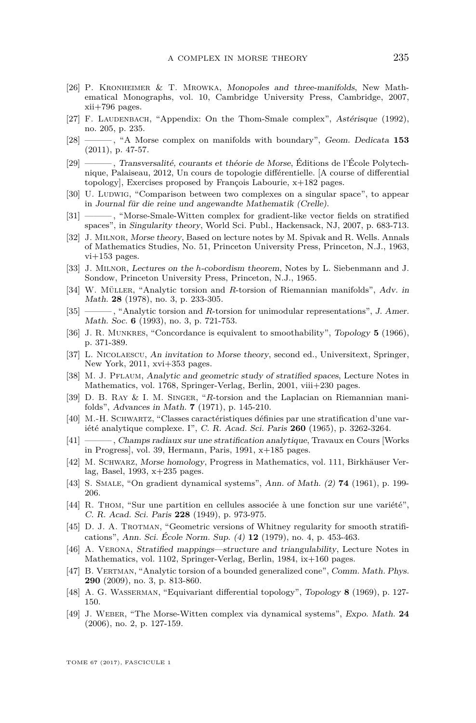- <span id="page-39-2"></span>[26] P. Kronheimer & T. Mrowka, Monopoles and three-manifolds, New Mathematical Monographs, vol. 10, Cambridge University Press, Cambridge, 2007, xii+796 pages.
- <span id="page-39-5"></span>[27] F. LAUDENBACH, "Appendix: On the Thom-Smale complex", Astérisque (1992), no. 205, p. 235.
- <span id="page-39-3"></span>[28] ——— , "A Morse complex on manifolds with boundary", Geom. Dedicata **153** (2011), p. 47-57.
- <span id="page-39-11"></span>[29] ——— , Transversalité, courants et théorie de Morse, Éditions de l'École Polytechnique, Palaiseau, 2012, Un cours de topologie différentielle. [A course of differential topology], Exercises proposed by François Labourie, x+182 pages.
- <span id="page-39-6"></span>[30] U. LUDWIG, "Comparison between two complexes on a singular space", to appear in Journal für die reine und angewandte Mathematik (Crelle).
- <span id="page-39-4"></span>[31] ——— , "Morse-Smale-Witten complex for gradient-like vector fields on stratified spaces", in Singularity theory, World Sci. Publ., Hackensack, NJ, 2007, p. 683-713.
- <span id="page-39-19"></span>[32] J. Milnor, Morse theory, Based on lecture notes by M. Spivak and R. Wells. Annals of Mathematics Studies, No. 51, Princeton University Press, Princeton, N.J., 1963, vi+153 pages.
- <span id="page-39-22"></span>[33] J. Milnor, Lectures on the *h*-cobordism theorem, Notes by L. Siebenmann and J. Sondow, Princeton University Press, Princeton, N.J., 1965.
- <span id="page-39-9"></span>[34] W. Müller, "Analytic torsion and *R*-torsion of Riemannian manifolds", Adv. in Math. **28** (1978), no. 3, p. 233-305.
- <span id="page-39-10"></span>[35] ———, "Analytic torsion and *R*-torsion for unimodular representations", *J. Amer.* Math. Soc. **6** (1993), no. 3, p. 721-753.
- <span id="page-39-21"></span>[36] J. R. Munkres, "Concordance is equivalent to smoothability", Topology **5** (1966), p. 371-389.
- <span id="page-39-20"></span>[37] L. Nicolaescu, An invitation to Morse theory, second ed., Universitext, Springer, New York, 2011, xvi+353 pages.
- <span id="page-39-16"></span>[38] M. J. PFLAUM, Analytic and geometric study of stratified spaces, Lecture Notes in Mathematics, vol. 1768, Springer-Verlag, Berlin, 2001, viii+230 pages.
- <span id="page-39-8"></span>[39] D. B. Ray & I. M. Singer, "*R*-torsion and the Laplacian on Riemannian manifolds", Advances in Math. **7** (1971), p. 145-210.
- <span id="page-39-14"></span>[40] M.-H. Schwartz, "Classes caractéristiques définies par une stratification d'une variété analytique complexe. I", C. R. Acad. Sci. Paris **260** (1965), p. 3262-3264.
- <span id="page-39-15"></span>[41] ——— , Champs radiaux sur une stratification analytique, Travaux en Cours [Works in Progress], vol. 39, Hermann, Paris, 1991, x+185 pages.
- <span id="page-39-12"></span>[42] M. Schwarz, Morse homology, Progress in Mathematics, vol. 111, Birkhäuser Verlag, Basel, 1993, x+235 pages.
- <span id="page-39-1"></span>[43] S. SMALE, "On gradient dynamical systems", Ann. of Math. (2) **74** (1961), p. 199-206.
- <span id="page-39-0"></span>[44] R. Thom, "Sur une partition en cellules associée à une fonction sur une variété", C. R. Acad. Sci. Paris **228** (1949), p. 973-975.
- <span id="page-39-17"></span>[45] D. J. A. Trotman, "Geometric versions of Whitney regularity for smooth stratifications", Ann. Sci. École Norm. Sup. (4) **12** (1979), no. 4, p. 453-463.
- <span id="page-39-18"></span>[46] A. Verona, Stratified mappings—structure and triangulability, Lecture Notes in Mathematics, vol. 1102, Springer-Verlag, Berlin, 1984, ix+160 pages.
- <span id="page-39-7"></span>[47] B. Vertman, "Analytic torsion of a bounded generalized cone", Comm. Math. Phys. **290** (2009), no. 3, p. 813-860.
- <span id="page-39-23"></span>[48] A. G. Wasserman, "Equivariant differential topology", Topology **8** (1969), p. 127- 150.
- <span id="page-39-13"></span>[49] J. Weber, "The Morse-Witten complex via dynamical systems", Expo. Math. **24** (2006), no. 2, p. 127-159.